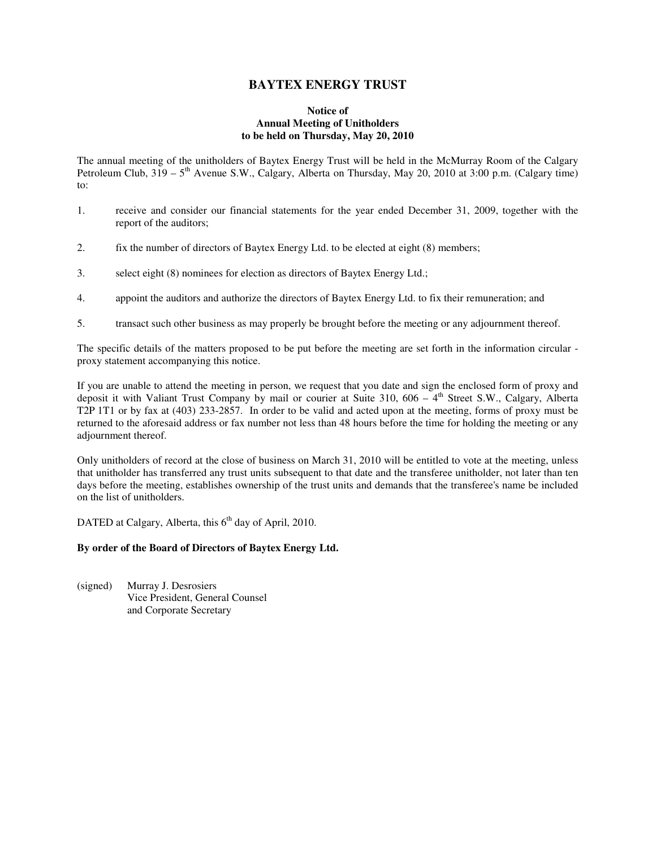# **BAYTEX ENERGY TRUST**

## **Notice of Annual Meeting of Unitholders to be held on Thursday, May 20, 2010**

The annual meeting of the unitholders of Baytex Energy Trust will be held in the McMurray Room of the Calgary Petroleum Club,  $319 - 5$ <sup>th</sup> Avenue S.W., Calgary, Alberta on Thursday, May 20, 2010 at 3:00 p.m. (Calgary time) to:

- 1. receive and consider our financial statements for the year ended December 31, 2009, together with the report of the auditors;
- 2. fix the number of directors of Baytex Energy Ltd. to be elected at eight (8) members;
- 3. select eight (8) nominees for election as directors of Baytex Energy Ltd.;
- 4. appoint the auditors and authorize the directors of Baytex Energy Ltd. to fix their remuneration; and
- 5. transact such other business as may properly be brought before the meeting or any adjournment thereof.

The specific details of the matters proposed to be put before the meeting are set forth in the information circular proxy statement accompanying this notice.

If you are unable to attend the meeting in person, we request that you date and sign the enclosed form of proxy and deposit it with Valiant Trust Company by mail or courier at Suite 310, 606 –  $4<sup>th</sup>$  Street S.W., Calgary, Alberta T2P 1T1 or by fax at (403) 233-2857. In order to be valid and acted upon at the meeting, forms of proxy must be returned to the aforesaid address or fax number not less than 48 hours before the time for holding the meeting or any adjournment thereof.

Only unitholders of record at the close of business on March 31, 2010 will be entitled to vote at the meeting, unless that unitholder has transferred any trust units subsequent to that date and the transferee unitholder, not later than ten days before the meeting, establishes ownership of the trust units and demands that the transferee's name be included on the list of unitholders.

DATED at Calgary, Alberta, this  $6<sup>th</sup>$  day of April, 2010.

# **By order of the Board of Directors of Baytex Energy Ltd.**

(signed) Murray J. Desrosiers Vice President, General Counsel and Corporate Secretary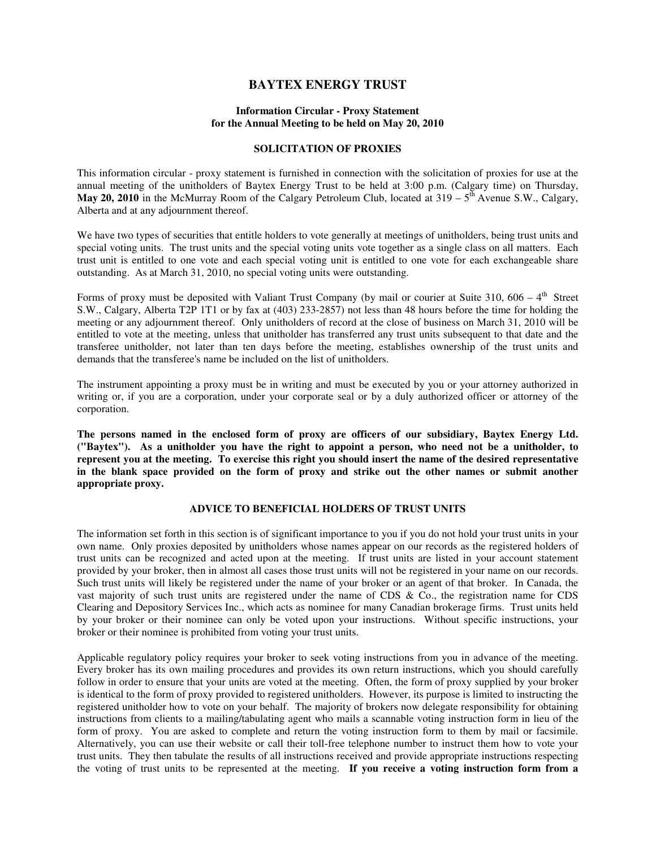# **BAYTEX ENERGY TRUST**

## **Information Circular - Proxy Statement for the Annual Meeting to be held on May 20, 2010**

## **SOLICITATION OF PROXIES**

This information circular - proxy statement is furnished in connection with the solicitation of proxies for use at the annual meeting of the unitholders of Baytex Energy Trust to be held at 3:00 p.m. (Calgary time) on Thursday, **May 20, 2010** in the McMurray Room of the Calgary Petroleum Club, located at  $319 - 5^{th}$  Avenue S.W., Calgary, Alberta and at any adjournment thereof.

We have two types of securities that entitle holders to vote generally at meetings of unitholders, being trust units and special voting units. The trust units and the special voting units vote together as a single class on all matters. Each trust unit is entitled to one vote and each special voting unit is entitled to one vote for each exchangeable share outstanding. As at March 31, 2010, no special voting units were outstanding.

Forms of proxy must be deposited with Valiant Trust Company (by mail or courier at Suite 310, 606 –  $4<sup>th</sup>$  Street S.W., Calgary, Alberta T2P 1T1 or by fax at (403) 233-2857) not less than 48 hours before the time for holding the meeting or any adjournment thereof. Only unitholders of record at the close of business on March 31, 2010 will be entitled to vote at the meeting, unless that unitholder has transferred any trust units subsequent to that date and the transferee unitholder, not later than ten days before the meeting, establishes ownership of the trust units and demands that the transferee's name be included on the list of unitholders.

The instrument appointing a proxy must be in writing and must be executed by you or your attorney authorized in writing or, if you are a corporation, under your corporate seal or by a duly authorized officer or attorney of the corporation.

**The persons named in the enclosed form of proxy are officers of our subsidiary, Baytex Energy Ltd. ("Baytex"). As a unitholder you have the right to appoint a person, who need not be a unitholder, to represent you at the meeting. To exercise this right you should insert the name of the desired representative**  in the blank space provided on the form of proxy and strike out the other names or submit another **appropriate proxy.** 

## **ADVICE TO BENEFICIAL HOLDERS OF TRUST UNITS**

The information set forth in this section is of significant importance to you if you do not hold your trust units in your own name. Only proxies deposited by unitholders whose names appear on our records as the registered holders of trust units can be recognized and acted upon at the meeting. If trust units are listed in your account statement provided by your broker, then in almost all cases those trust units will not be registered in your name on our records. Such trust units will likely be registered under the name of your broker or an agent of that broker. In Canada, the vast majority of such trust units are registered under the name of CDS & Co., the registration name for CDS Clearing and Depository Services Inc., which acts as nominee for many Canadian brokerage firms. Trust units held by your broker or their nominee can only be voted upon your instructions. Without specific instructions, your broker or their nominee is prohibited from voting your trust units.

Applicable regulatory policy requires your broker to seek voting instructions from you in advance of the meeting. Every broker has its own mailing procedures and provides its own return instructions, which you should carefully follow in order to ensure that your units are voted at the meeting. Often, the form of proxy supplied by your broker is identical to the form of proxy provided to registered unitholders. However, its purpose is limited to instructing the registered unitholder how to vote on your behalf. The majority of brokers now delegate responsibility for obtaining instructions from clients to a mailing/tabulating agent who mails a scannable voting instruction form in lieu of the form of proxy. You are asked to complete and return the voting instruction form to them by mail or facsimile. Alternatively, you can use their website or call their toll-free telephone number to instruct them how to vote your trust units. They then tabulate the results of all instructions received and provide appropriate instructions respecting the voting of trust units to be represented at the meeting. **If you receive a voting instruction form from a**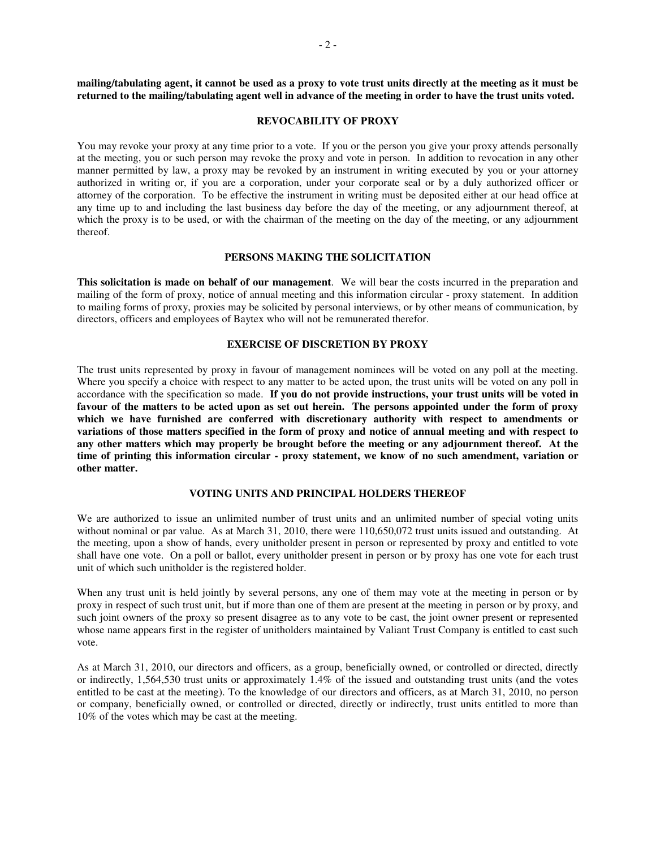**mailing/tabulating agent, it cannot be used as a proxy to vote trust units directly at the meeting as it must be returned to the mailing/tabulating agent well in advance of the meeting in order to have the trust units voted.**

#### **REVOCABILITY OF PROXY**

You may revoke your proxy at any time prior to a vote. If you or the person you give your proxy attends personally at the meeting, you or such person may revoke the proxy and vote in person. In addition to revocation in any other manner permitted by law, a proxy may be revoked by an instrument in writing executed by you or your attorney authorized in writing or, if you are a corporation, under your corporate seal or by a duly authorized officer or attorney of the corporation. To be effective the instrument in writing must be deposited either at our head office at any time up to and including the last business day before the day of the meeting, or any adjournment thereof, at which the proxy is to be used, or with the chairman of the meeting on the day of the meeting, or any adjournment thereof.

#### **PERSONS MAKING THE SOLICITATION**

**This solicitation is made on behalf of our management**. We will bear the costs incurred in the preparation and mailing of the form of proxy, notice of annual meeting and this information circular - proxy statement. In addition to mailing forms of proxy, proxies may be solicited by personal interviews, or by other means of communication, by directors, officers and employees of Baytex who will not be remunerated therefor.

#### **EXERCISE OF DISCRETION BY PROXY**

The trust units represented by proxy in favour of management nominees will be voted on any poll at the meeting. Where you specify a choice with respect to any matter to be acted upon, the trust units will be voted on any poll in accordance with the specification so made. **If you do not provide instructions, your trust units will be voted in**  favour of the matters to be acted upon as set out herein. The persons appointed under the form of proxy **which we have furnished are conferred with discretionary authority with respect to amendments or variations of those matters specified in the form of proxy and notice of annual meeting and with respect to any other matters which may properly be brought before the meeting or any adjournment thereof. At the time of printing this information circular - proxy statement, we know of no such amendment, variation or other matter.**

## **VOTING UNITS AND PRINCIPAL HOLDERS THEREOF**

We are authorized to issue an unlimited number of trust units and an unlimited number of special voting units without nominal or par value. As at March 31, 2010, there were 110,650,072 trust units issued and outstanding. At the meeting, upon a show of hands, every unitholder present in person or represented by proxy and entitled to vote shall have one vote. On a poll or ballot, every unitholder present in person or by proxy has one vote for each trust unit of which such unitholder is the registered holder.

When any trust unit is held jointly by several persons, any one of them may vote at the meeting in person or by proxy in respect of such trust unit, but if more than one of them are present at the meeting in person or by proxy, and such joint owners of the proxy so present disagree as to any vote to be cast, the joint owner present or represented whose name appears first in the register of unitholders maintained by Valiant Trust Company is entitled to cast such vote.

As at March 31, 2010, our directors and officers, as a group, beneficially owned, or controlled or directed, directly or indirectly, 1,564,530 trust units or approximately 1.4% of the issued and outstanding trust units (and the votes entitled to be cast at the meeting). To the knowledge of our directors and officers, as at March 31, 2010, no person or company, beneficially owned, or controlled or directed, directly or indirectly, trust units entitled to more than 10% of the votes which may be cast at the meeting.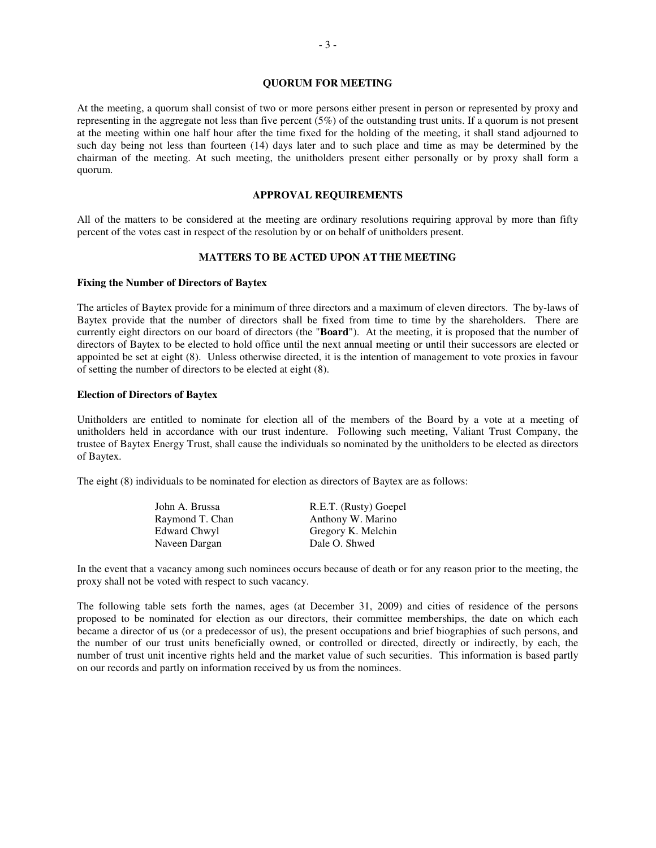## **QUORUM FOR MEETING**

At the meeting, a quorum shall consist of two or more persons either present in person or represented by proxy and representing in the aggregate not less than five percent (5%) of the outstanding trust units. If a quorum is not present at the meeting within one half hour after the time fixed for the holding of the meeting, it shall stand adjourned to such day being not less than fourteen (14) days later and to such place and time as may be determined by the chairman of the meeting. At such meeting, the unitholders present either personally or by proxy shall form a quorum.

## **APPROVAL REQUIREMENTS**

All of the matters to be considered at the meeting are ordinary resolutions requiring approval by more than fifty percent of the votes cast in respect of the resolution by or on behalf of unitholders present.

#### **MATTERS TO BE ACTED UPON ATTHE MEETING**

#### **Fixing the Number of Directors of Baytex**

The articles of Baytex provide for a minimum of three directors and a maximum of eleven directors. The by-laws of Baytex provide that the number of directors shall be fixed from time to time by the shareholders. There are currently eight directors on our board of directors (the "**Board**"). At the meeting, it is proposed that the number of directors of Baytex to be elected to hold office until the next annual meeting or until their successors are elected or appointed be set at eight (8). Unless otherwise directed, it is the intention of management to vote proxies in favour of setting the number of directors to be elected at eight (8).

### **Election of Directors of Baytex**

Unitholders are entitled to nominate for election all of the members of the Board by a vote at a meeting of unitholders held in accordance with our trust indenture. Following such meeting, Valiant Trust Company, the trustee of Baytex Energy Trust, shall cause the individuals so nominated by the unitholders to be elected as directors of Baytex.

The eight (8) individuals to be nominated for election as directors of Baytex are as follows:

| John A. Brussa  | R.E.T. (Rusty) Goepel |
|-----------------|-----------------------|
| Raymond T. Chan | Anthony W. Marino     |
| Edward Chwyl    | Gregory K. Melchin    |
| Naveen Dargan   | Dale O. Shwed         |

In the event that a vacancy among such nominees occurs because of death or for any reason prior to the meeting, the proxy shall not be voted with respect to such vacancy.

The following table sets forth the names, ages (at December 31, 2009) and cities of residence of the persons proposed to be nominated for election as our directors, their committee memberships, the date on which each became a director of us (or a predecessor of us), the present occupations and brief biographies of such persons, and the number of our trust units beneficially owned, or controlled or directed, directly or indirectly, by each, the number of trust unit incentive rights held and the market value of such securities. This information is based partly on our records and partly on information received by us from the nominees.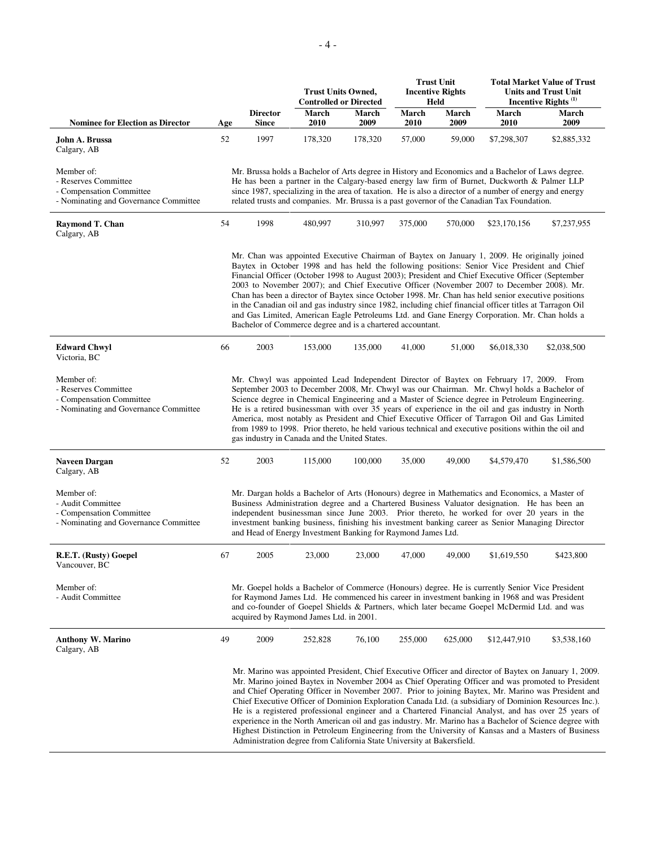|                                                                                                         | <b>Trust Units Owned,</b><br><b>Controlled or Directed</b> |                          |                                                                        |               | <b>Trust Unit</b><br><b>Incentive Rights</b><br>Held | <b>Total Market Value of Trust</b><br><b>Units and Trust Unit</b><br>Incentive Rights <sup>(1)</sup> |                                                                                                                                                                                                                                                                                                                                                                                                                                                                                                                                                                                                                                                                                                                     |                                                                                                                                                                                                                                                                                                                                                                                                                                                                                                                                                                                                                                                                                                                                                          |
|---------------------------------------------------------------------------------------------------------|------------------------------------------------------------|--------------------------|------------------------------------------------------------------------|---------------|------------------------------------------------------|------------------------------------------------------------------------------------------------------|---------------------------------------------------------------------------------------------------------------------------------------------------------------------------------------------------------------------------------------------------------------------------------------------------------------------------------------------------------------------------------------------------------------------------------------------------------------------------------------------------------------------------------------------------------------------------------------------------------------------------------------------------------------------------------------------------------------------|----------------------------------------------------------------------------------------------------------------------------------------------------------------------------------------------------------------------------------------------------------------------------------------------------------------------------------------------------------------------------------------------------------------------------------------------------------------------------------------------------------------------------------------------------------------------------------------------------------------------------------------------------------------------------------------------------------------------------------------------------------|
| <b>Nominee for Election as Director</b>                                                                 | Age                                                        | <b>Director</b><br>Since | March<br>2010                                                          | March<br>2009 | March<br>2010                                        | March<br>2009                                                                                        | March<br>2010                                                                                                                                                                                                                                                                                                                                                                                                                                                                                                                                                                                                                                                                                                       | March<br>2009                                                                                                                                                                                                                                                                                                                                                                                                                                                                                                                                                                                                                                                                                                                                            |
| John A. Brussa<br>Calgary, AB                                                                           | 52                                                         | 1997                     | 178,320                                                                | 178,320       | 57,000                                               | 59,000                                                                                               | \$7,298,307                                                                                                                                                                                                                                                                                                                                                                                                                                                                                                                                                                                                                                                                                                         | \$2,885,332                                                                                                                                                                                                                                                                                                                                                                                                                                                                                                                                                                                                                                                                                                                                              |
| Member of:<br>- Reserves Committee<br>- Compensation Committee<br>- Nominating and Governance Committee |                                                            |                          |                                                                        |               |                                                      |                                                                                                      | Mr. Brussa holds a Bachelor of Arts degree in History and Economics and a Bachelor of Laws degree.<br>He has been a partner in the Calgary-based energy law firm of Burnet, Duckworth & Palmer LLP<br>since 1987, specializing in the area of taxation. He is also a director of a number of energy and energy<br>related trusts and companies. Mr. Brussa is a past governor of the Canadian Tax Foundation.                                                                                                                                                                                                                                                                                                       |                                                                                                                                                                                                                                                                                                                                                                                                                                                                                                                                                                                                                                                                                                                                                          |
| Raymond T. Chan<br>Calgary, AB                                                                          | 54                                                         | 1998                     | 480,997                                                                | 310,997       | 375,000                                              | 570,000                                                                                              | \$23,170,156                                                                                                                                                                                                                                                                                                                                                                                                                                                                                                                                                                                                                                                                                                        | \$7,237,955                                                                                                                                                                                                                                                                                                                                                                                                                                                                                                                                                                                                                                                                                                                                              |
|                                                                                                         |                                                            |                          | Bachelor of Commerce degree and is a chartered accountant.             |               |                                                      |                                                                                                      | Mr. Chan was appointed Executive Chairman of Baytex on January 1, 2009. He originally joined<br>Baytex in October 1998 and has held the following positions: Senior Vice President and Chief<br>Financial Officer (October 1998 to August 2003); President and Chief Executive Officer (September<br>2003 to November 2007); and Chief Executive Officer (November 2007 to December 2008). Mr.<br>Chan has been a director of Baytex since October 1998. Mr. Chan has held senior executive positions<br>in the Canadian oil and gas industry since 1982, including chief financial officer titles at Tarragon Oil<br>and Gas Limited, American Eagle Petroleums Ltd. and Gane Energy Corporation. Mr. Chan holds a |                                                                                                                                                                                                                                                                                                                                                                                                                                                                                                                                                                                                                                                                                                                                                          |
| <b>Edward Chwyl</b><br>Victoria, BC                                                                     | 66                                                         | 2003                     | 153,000                                                                | 135,000       | 41,000                                               | 51,000                                                                                               | \$6,018,330                                                                                                                                                                                                                                                                                                                                                                                                                                                                                                                                                                                                                                                                                                         | \$2,038,500                                                                                                                                                                                                                                                                                                                                                                                                                                                                                                                                                                                                                                                                                                                                              |
| Member of:<br>- Reserves Committee<br>- Compensation Committee<br>- Nominating and Governance Committee |                                                            |                          | gas industry in Canada and the United States.                          |               |                                                      |                                                                                                      | Mr. Chwyl was appointed Lead Independent Director of Baytex on February 17, 2009. From<br>September 2003 to December 2008, Mr. Chwyl was our Chairman. Mr. Chwyl holds a Bachelor of<br>Science degree in Chemical Engineering and a Master of Science degree in Petroleum Engineering.<br>He is a retired businessman with over 35 years of experience in the oil and gas industry in North<br>America, most notably as President and Chief Executive Officer of Tarragon Oil and Gas Limited<br>from 1989 to 1998. Prior thereto, he held various technical and executive positions within the oil and                                                                                                            |                                                                                                                                                                                                                                                                                                                                                                                                                                                                                                                                                                                                                                                                                                                                                          |
| Naveen Dargan<br>Calgary, AB                                                                            | 52                                                         | 2003                     | 115,000                                                                | 100,000       | 35,000                                               | 49,000                                                                                               | \$4,579,470                                                                                                                                                                                                                                                                                                                                                                                                                                                                                                                                                                                                                                                                                                         | \$1,586,500                                                                                                                                                                                                                                                                                                                                                                                                                                                                                                                                                                                                                                                                                                                                              |
| Member of:<br>- Audit Committee<br>- Compensation Committee<br>- Nominating and Governance Committee    |                                                            |                          | and Head of Energy Investment Banking for Raymond James Ltd.           |               |                                                      |                                                                                                      | Mr. Dargan holds a Bachelor of Arts (Honours) degree in Mathematics and Economics, a Master of<br>Business Administration degree and a Chartered Business Valuator designation. He has been an<br>independent businessman since June 2003. Prior thereto, he worked for over 20 years in the<br>investment banking business, finishing his investment banking career as Senior Managing Director                                                                                                                                                                                                                                                                                                                    |                                                                                                                                                                                                                                                                                                                                                                                                                                                                                                                                                                                                                                                                                                                                                          |
| R.E.T. (Rusty) Goepel<br>Vancouver, BC                                                                  | 67                                                         | 2005                     | 23,000                                                                 | 23,000        | 47,000                                               | 49,000                                                                                               | \$1,619,550                                                                                                                                                                                                                                                                                                                                                                                                                                                                                                                                                                                                                                                                                                         | \$423,800                                                                                                                                                                                                                                                                                                                                                                                                                                                                                                                                                                                                                                                                                                                                                |
| Member of:<br>- Audit Committee                                                                         |                                                            |                          | acquired by Raymond James Ltd. in 2001.                                |               |                                                      |                                                                                                      | Mr. Goepel holds a Bachelor of Commerce (Honours) degree. He is currently Senior Vice President<br>for Raymond James Ltd. He commenced his career in investment banking in 1968 and was President<br>and co-founder of Goepel Shields & Partners, which later became Goepel McDermid Ltd. and was                                                                                                                                                                                                                                                                                                                                                                                                                   |                                                                                                                                                                                                                                                                                                                                                                                                                                                                                                                                                                                                                                                                                                                                                          |
| <b>Anthony W. Marino</b><br>Calgary, AB                                                                 | 49                                                         | 2009                     | 252,828                                                                | 76,100        | 255,000                                              | 625,000                                                                                              | \$12,447,910                                                                                                                                                                                                                                                                                                                                                                                                                                                                                                                                                                                                                                                                                                        | \$3,538,160                                                                                                                                                                                                                                                                                                                                                                                                                                                                                                                                                                                                                                                                                                                                              |
|                                                                                                         |                                                            |                          | Administration degree from California State University at Bakersfield. |               |                                                      |                                                                                                      |                                                                                                                                                                                                                                                                                                                                                                                                                                                                                                                                                                                                                                                                                                                     | Mr. Marino was appointed President, Chief Executive Officer and director of Baytex on January 1, 2009.<br>Mr. Marino joined Baytex in November 2004 as Chief Operating Officer and was promoted to President<br>and Chief Operating Officer in November 2007. Prior to joining Baytex, Mr. Marino was President and<br>Chief Executive Officer of Dominion Exploration Canada Ltd. (a subsidiary of Dominion Resources Inc.).<br>He is a registered professional engineer and a Chartered Financial Analyst, and has over 25 years of<br>experience in the North American oil and gas industry. Mr. Marino has a Bachelor of Science degree with<br>Highest Distinction in Petroleum Engineering from the University of Kansas and a Masters of Business |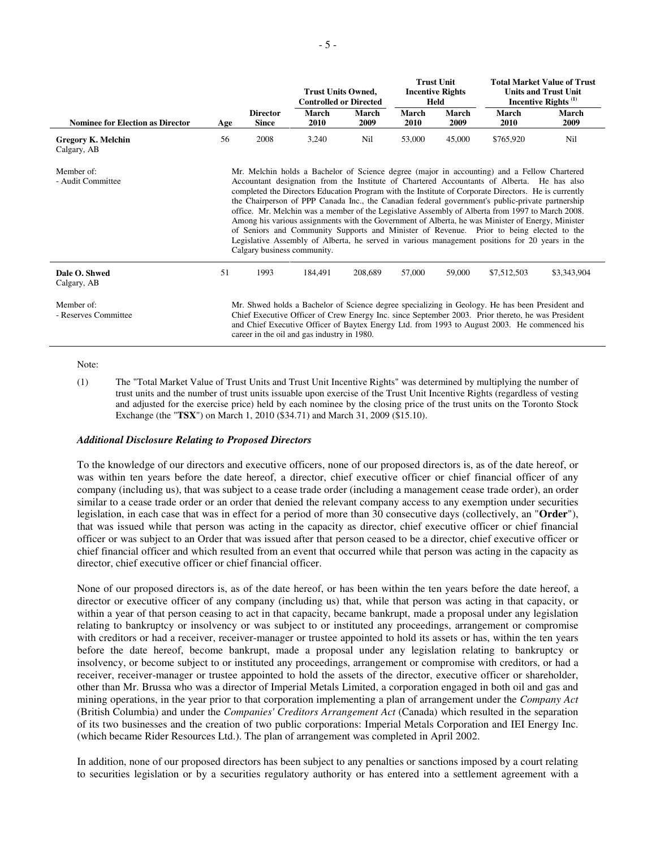|                                          |                                                                                                                                                                                                                                                                                                                                                                                                                                                                                                                                                                                                                                                                                                                                                                                                                                             |                                 | <b>Trust Units Owned,</b><br><b>Controlled or Directed</b> |               |               | <b>Trust Unit</b><br><b>Incentive Rights</b><br>Held |               | <b>Total Market Value of Trust</b><br><b>Units and Trust Unit</b><br>Incentive Rights <sup>(1)</sup> |  |
|------------------------------------------|---------------------------------------------------------------------------------------------------------------------------------------------------------------------------------------------------------------------------------------------------------------------------------------------------------------------------------------------------------------------------------------------------------------------------------------------------------------------------------------------------------------------------------------------------------------------------------------------------------------------------------------------------------------------------------------------------------------------------------------------------------------------------------------------------------------------------------------------|---------------------------------|------------------------------------------------------------|---------------|---------------|------------------------------------------------------|---------------|------------------------------------------------------------------------------------------------------|--|
| <b>Nominee for Election as Director</b>  | Age                                                                                                                                                                                                                                                                                                                                                                                                                                                                                                                                                                                                                                                                                                                                                                                                                                         | <b>Director</b><br><b>Since</b> | March<br>2010                                              | March<br>2009 | March<br>2010 | March<br>2009                                        | March<br>2010 | <b>March</b><br>2009                                                                                 |  |
| <b>Gregory K. Melchin</b><br>Calgary, AB | 56                                                                                                                                                                                                                                                                                                                                                                                                                                                                                                                                                                                                                                                                                                                                                                                                                                          | 2008                            | 3,240                                                      | Nil           | 53,000        | 45,000                                               | \$765,920     | Nil                                                                                                  |  |
| Member of:<br>- Audit Committee          | Mr. Melchin holds a Bachelor of Science degree (major in accounting) and a Fellow Chartered<br>Accountant designation from the Institute of Chartered Accountants of Alberta. He has also<br>completed the Directors Education Program with the Institute of Corporate Directors. He is currently<br>the Chairperson of PPP Canada Inc., the Canadian federal government's public-private partnership<br>office. Mr. Melchin was a member of the Legislative Assembly of Alberta from 1997 to March 2008.<br>Among his various assignments with the Government of Alberta, he was Minister of Energy, Minister<br>of Seniors and Community Supports and Minister of Revenue. Prior to being elected to the<br>Legislative Assembly of Alberta, he served in various management positions for 20 years in the<br>Calgary business community. |                                 |                                                            |               |               |                                                      |               |                                                                                                      |  |
| Dale O. Shwed<br>Calgary, AB             | 51                                                                                                                                                                                                                                                                                                                                                                                                                                                                                                                                                                                                                                                                                                                                                                                                                                          | 1993                            | 184,491                                                    | 208,689       | 57,000        | 59,000                                               | \$7,512,503   | \$3,343,904                                                                                          |  |
| Member of:<br>- Reserves Committee       | Mr. Shwed holds a Bachelor of Science degree specializing in Geology. He has been President and<br>Chief Executive Officer of Crew Energy Inc. since September 2003. Prior thereto, he was President<br>and Chief Executive Officer of Baytex Energy Ltd. from 1993 to August 2003. He commenced his<br>career in the oil and gas industry in 1980.                                                                                                                                                                                                                                                                                                                                                                                                                                                                                         |                                 |                                                            |               |               |                                                      |               |                                                                                                      |  |

Note:

(1) The "Total Market Value of Trust Units and Trust Unit Incentive Rights" was determined by multiplying the number of trust units and the number of trust units issuable upon exercise of the Trust Unit Incentive Rights (regardless of vesting and adjusted for the exercise price) held by each nominee by the closing price of the trust units on the Toronto Stock Exchange (the "**TSX**") on March 1, 2010 (\$34.71) and March 31, 2009 (\$15.10).

## *Additional Disclosure Relating to Proposed Directors*

To the knowledge of our directors and executive officers, none of our proposed directors is, as of the date hereof, or was within ten years before the date hereof, a director, chief executive officer or chief financial officer of any company (including us), that was subject to a cease trade order (including a management cease trade order), an order similar to a cease trade order or an order that denied the relevant company access to any exemption under securities legislation, in each case that was in effect for a period of more than 30 consecutive days (collectively, an "**Order**"), that was issued while that person was acting in the capacity as director, chief executive officer or chief financial officer or was subject to an Order that was issued after that person ceased to be a director, chief executive officer or chief financial officer and which resulted from an event that occurred while that person was acting in the capacity as director, chief executive officer or chief financial officer.

None of our proposed directors is, as of the date hereof, or has been within the ten years before the date hereof, a director or executive officer of any company (including us) that, while that person was acting in that capacity, or within a year of that person ceasing to act in that capacity, became bankrupt, made a proposal under any legislation relating to bankruptcy or insolvency or was subject to or instituted any proceedings, arrangement or compromise with creditors or had a receiver, receiver-manager or trustee appointed to hold its assets or has, within the ten years before the date hereof, become bankrupt, made a proposal under any legislation relating to bankruptcy or insolvency, or become subject to or instituted any proceedings, arrangement or compromise with creditors, or had a receiver, receiver-manager or trustee appointed to hold the assets of the director, executive officer or shareholder, other than Mr. Brussa who was a director of Imperial Metals Limited, a corporation engaged in both oil and gas and mining operations, in the year prior to that corporation implementing a plan of arrangement under the *Company Act* (British Columbia) and under the *Companies' Creditors Arrangement Act* (Canada) which resulted in the separation of its two businesses and the creation of two public corporations: Imperial Metals Corporation and IEI Energy Inc. (which became Rider Resources Ltd.). The plan of arrangement was completed in April 2002.

In addition, none of our proposed directors has been subject to any penalties or sanctions imposed by a court relating to securities legislation or by a securities regulatory authority or has entered into a settlement agreement with a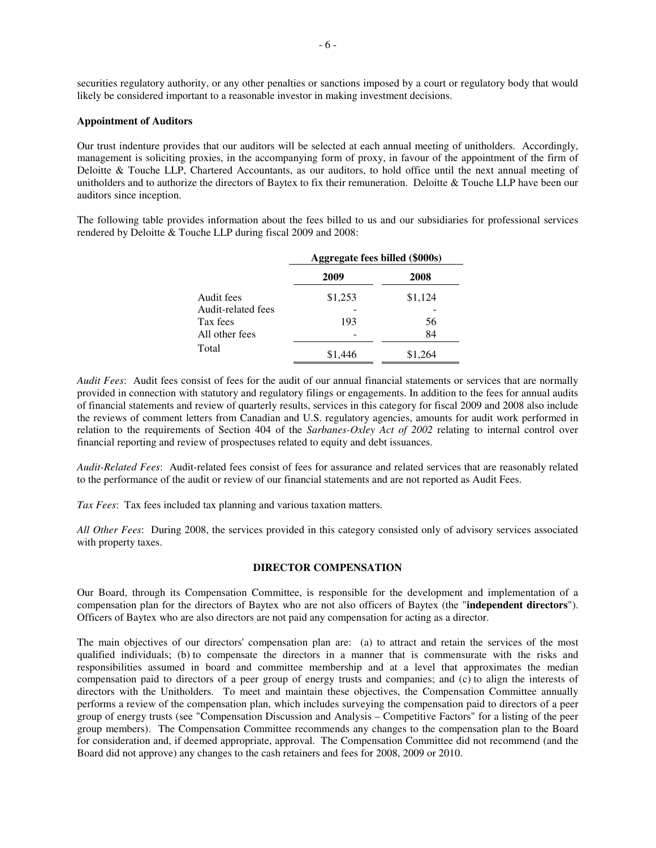securities regulatory authority, or any other penalties or sanctions imposed by a court or regulatory body that would likely be considered important to a reasonable investor in making investment decisions.

### **Appointment of Auditors**

Our trust indenture provides that our auditors will be selected at each annual meeting of unitholders. Accordingly, management is soliciting proxies, in the accompanying form of proxy, in favour of the appointment of the firm of Deloitte & Touche LLP, Chartered Accountants, as our auditors, to hold office until the next annual meeting of unitholders and to authorize the directors of Baytex to fix their remuneration. Deloitte & Touche LLP have been our auditors since inception.

The following table provides information about the fees billed to us and our subsidiaries for professional services rendered by Deloitte & Touche LLP during fiscal 2009 and 2008:

|                    | Aggregate fees billed (\$000s) |         |
|--------------------|--------------------------------|---------|
|                    | 2009                           | 2008    |
| Audit fees         | \$1,253                        | \$1,124 |
| Audit-related fees |                                |         |
| Tax fees           | 193                            | 56      |
| All other fees     |                                | 84      |
| Total              | \$1,446                        | \$1,264 |

*Audit Fees*: Audit fees consist of fees for the audit of our annual financial statements or services that are normally provided in connection with statutory and regulatory filings or engagements. In addition to the fees for annual audits of financial statements and review of quarterly results, services in this category for fiscal 2009 and 2008 also include the reviews of comment letters from Canadian and U.S. regulatory agencies, amounts for audit work performed in relation to the requirements of Section 404 of the *Sarbanes-Oxley Act of 2002* relating to internal control over financial reporting and review of prospectuses related to equity and debt issuances.

*Audit-Related Fees*: Audit-related fees consist of fees for assurance and related services that are reasonably related to the performance of the audit or review of our financial statements and are not reported as Audit Fees.

*Tax Fees*: Tax fees included tax planning and various taxation matters.

*All Other Fees*: During 2008, the services provided in this category consisted only of advisory services associated with property taxes.

## **DIRECTOR COMPENSATION**

Our Board, through its Compensation Committee, is responsible for the development and implementation of a compensation plan for the directors of Baytex who are not also officers of Baytex (the "**independent directors**"). Officers of Baytex who are also directors are not paid any compensation for acting as a director.

The main objectives of our directors' compensation plan are: (a) to attract and retain the services of the most qualified individuals; (b) to compensate the directors in a manner that is commensurate with the risks and responsibilities assumed in board and committee membership and at a level that approximates the median compensation paid to directors of a peer group of energy trusts and companies; and (c) to align the interests of directors with the Unitholders. To meet and maintain these objectives, the Compensation Committee annually performs a review of the compensation plan, which includes surveying the compensation paid to directors of a peer group of energy trusts (see "Compensation Discussion and Analysis – Competitive Factors" for a listing of the peer group members). The Compensation Committee recommends any changes to the compensation plan to the Board for consideration and, if deemed appropriate, approval. The Compensation Committee did not recommend (and the Board did not approve) any changes to the cash retainers and fees for 2008, 2009 or 2010.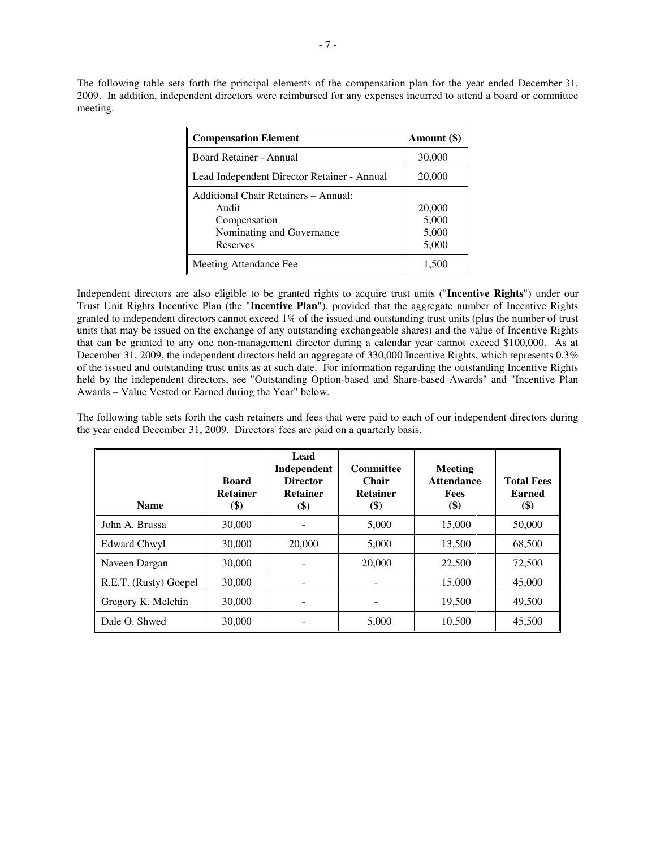The following table sets forth the principal elements of the compensation plan for the year ended December 31, 2009. In addition, independent directors were reimbursed for any expenses incurred to attend a board or committee meeting.

| <b>Compensation Element</b>                                                                            | Amount (\$)                       |
|--------------------------------------------------------------------------------------------------------|-----------------------------------|
| Board Retainer - Annual                                                                                | 30,000                            |
| Lead Independent Director Retainer - Annual                                                            | 20,000                            |
| Additional Chair Retainers - Annual:<br>Audit<br>Compensation<br>Nominating and Governance<br>Reserves | 20,000<br>5,000<br>5,000<br>5,000 |
| Meeting Attendance Fee                                                                                 | 1.500                             |

Independent directors are also eligible to be granted rights to acquire trust units ("**Incentive Rights**") under our Trust Unit Rights Incentive Plan (the "**Incentive Plan**"), provided that the aggregate number of Incentive Rights granted to independent directors cannot exceed 1% of the issued and outstanding trust units (plus the number of trust units that may be issued on the exchange of any outstanding exchangeable shares) and the value of Incentive Rights that can be granted to any one non-management director during a calendar year cannot exceed \$100,000. As at December 31, 2009, the independent directors held an aggregate of 330,000 Incentive Rights, which represents 0.3% of the issued and outstanding trust units as at such date. For information regarding the outstanding Incentive Rights held by the independent directors, see "Outstanding Option-based and Share-based Awards" and "Incentive Plan Awards – Value Vested or Earned during the Year" below.

The following table sets forth the cash retainers and fees that were paid to each of our independent directors during the year ended December 31, 2009. Directors' fees are paid on a quarterly basis.

| <b>Name</b>           | <b>Board</b><br><b>Retainer</b><br>\$) | Lead<br>Independent<br><b>Director</b><br><b>Retainer</b><br>(\$) | Committee<br><b>Chair</b><br><b>Retainer</b><br>$\left( \text{\$}\right)$ | Meeting<br><b>Attendance</b><br><b>Fees</b><br>\$) | <b>Total Fees</b><br><b>Earned</b><br>\$) |
|-----------------------|----------------------------------------|-------------------------------------------------------------------|---------------------------------------------------------------------------|----------------------------------------------------|-------------------------------------------|
| John A. Brussa        | 30,000                                 |                                                                   | 5,000                                                                     | 15,000                                             | 50,000                                    |
| Edward Chwyl          | 30,000                                 | 20,000                                                            | 5,000                                                                     | 13,500                                             | 68,500                                    |
| Naveen Dargan         | 30,000                                 |                                                                   | 20,000                                                                    | 22,500                                             | 72,500                                    |
| R.E.T. (Rusty) Goepel | 30,000                                 |                                                                   |                                                                           | 15,000                                             | 45,000                                    |
| Gregory K. Melchin    | 30,000                                 |                                                                   |                                                                           | 19,500                                             | 49,500                                    |
| Dale O. Shwed         | 30,000                                 |                                                                   | 5,000                                                                     | 10.500                                             | 45,500                                    |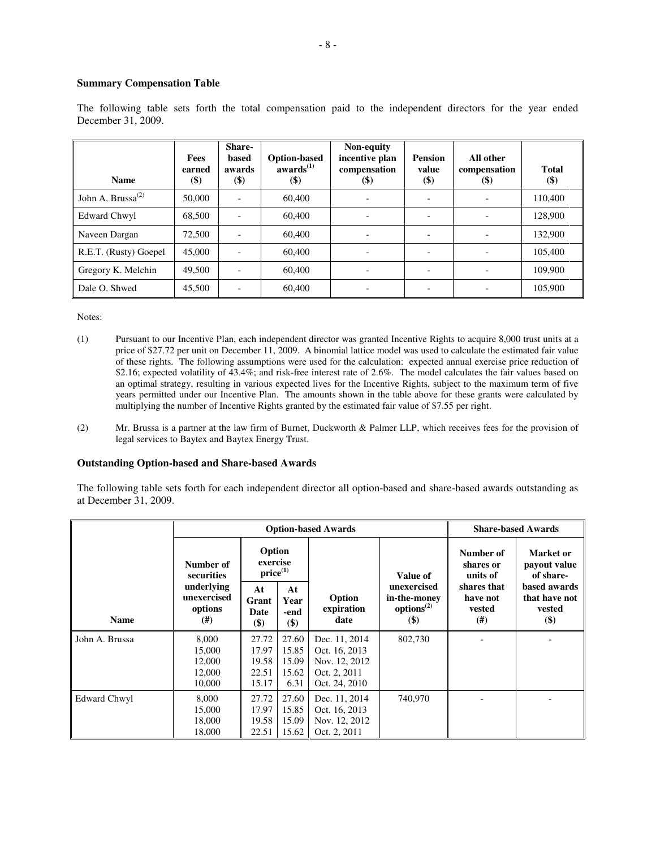## **Summary Compensation Table**

| <b>Name</b>                   | Fees<br>earned<br><b>(\$)</b> | <b>Share-</b><br>based<br>awards<br>$(\$)$ | <b>Option-based</b><br>awards <sup>(1)</sup><br><b>(\$)</b> | Non-equity<br>incentive plan<br>compensation<br>$\left( \mathcal{S} \right)$ | <b>Pension</b><br>value<br>$(\$)$ | All other<br>compensation<br>(\$) | <b>Total</b><br>$(\$)$ |
|-------------------------------|-------------------------------|--------------------------------------------|-------------------------------------------------------------|------------------------------------------------------------------------------|-----------------------------------|-----------------------------------|------------------------|
| John A. Brussa <sup>(2)</sup> | 50,000                        | $\overline{\phantom{a}}$                   | 60,400                                                      |                                                                              |                                   |                                   | 110,400                |
| Edward Chwyl                  | 68,500                        |                                            | 60,400                                                      |                                                                              |                                   |                                   | 128,900                |
| Naveen Dargan                 | 72,500                        | $\overline{\phantom{0}}$                   | 60,400                                                      |                                                                              |                                   |                                   | 132,900                |
| R.E.T. (Rusty) Goepel         | 45,000                        | $\overline{\phantom{a}}$                   | 60,400                                                      |                                                                              |                                   |                                   | 105,400                |
| Gregory K. Melchin            | 49,500                        |                                            | 60,400                                                      |                                                                              |                                   |                                   | 109.900                |
| Dale O. Shwed                 | 45,500                        |                                            | 60,400                                                      |                                                                              |                                   |                                   | 105,900                |

The following table sets forth the total compensation paid to the independent directors for the year ended December 31, 2009.

Notes:

- (1) Pursuant to our Incentive Plan, each independent director was granted Incentive Rights to acquire 8,000 trust units at a price of \$27.72 per unit on December 11, 2009. A binomial lattice model was used to calculate the estimated fair value of these rights. The following assumptions were used for the calculation: expected annual exercise price reduction of \$2.16; expected volatility of 43.4%; and risk-free interest rate of 2.6%. The model calculates the fair values based on an optimal strategy, resulting in various expected lives for the Incentive Rights, subject to the maximum term of five years permitted under our Incentive Plan. The amounts shown in the table above for these grants were calculated by multiplying the number of Incentive Rights granted by the estimated fair value of \$7.55 per right.
- (2) Mr. Brussa is a partner at the law firm of Burnet, Duckworth & Palmer LLP, which receives fees for the provision of legal services to Baytex and Baytex Energy Trust.

## **Outstanding Option-based and Share-based Awards**

The following table sets forth for each independent director all option-based and share-based awards outstanding as at December 31, 2009.

|                |                                               |                                           |                                          | <b>Option-based Awards</b>                                                       |                                                              |                                          | <b>Share-based Awards</b>                      |  |
|----------------|-----------------------------------------------|-------------------------------------------|------------------------------------------|----------------------------------------------------------------------------------|--------------------------------------------------------------|------------------------------------------|------------------------------------------------|--|
|                | Number of<br>securities                       | Option<br>exercise<br>$price^{(1)}$       |                                          |                                                                                  | Value of                                                     | Number of<br>shares or<br>units of       | Market or<br>payout value<br>of share-         |  |
| <b>Name</b>    | underlying<br>unexercised<br>options<br>(#)   | At<br>Grant<br>Date<br>$($ \$)            | At<br>Year<br>-end<br>\$)                | Option<br>expiration<br>date                                                     | unexercised<br>in-the-money<br>options <sup>(2)</sup><br>\$) | shares that<br>have not<br>vested<br>(#) | based awards<br>that have not<br>vested<br>\$) |  |
| John A. Brussa | 8,000<br>15,000<br>12,000<br>12,000<br>10,000 | 27.72<br>17.97<br>19.58<br>22.51<br>15.17 | 27.60<br>15.85<br>15.09<br>15.62<br>6.31 | Dec. 11, 2014<br>Oct. 16, 2013<br>Nov. 12, 2012<br>Oct. 2, 2011<br>Oct. 24, 2010 | 802,730                                                      |                                          |                                                |  |
| Edward Chwyl   | 8,000<br>15,000<br>18,000<br>18,000           | 27.72<br>17.97<br>19.58<br>22.51          | 27.60<br>15.85<br>15.09<br>15.62         | Dec. 11, 2014<br>Oct. 16, 2013<br>Nov. 12, 2012<br>Oct. 2, 2011                  | 740,970                                                      |                                          |                                                |  |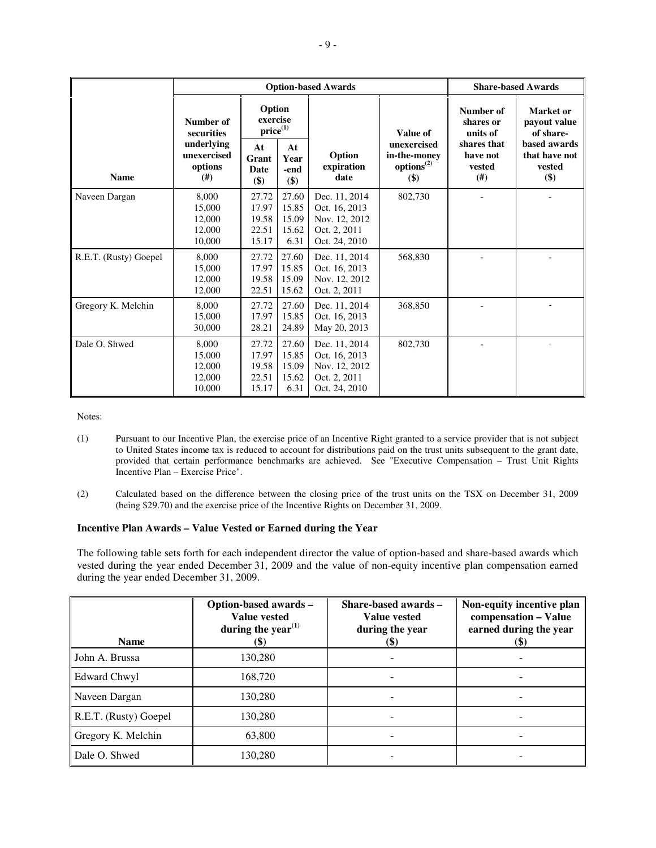|                       |                                                                | <b>Option-based Awards</b>                |                                          | <b>Share-based Awards</b>                                                        |                                                              |                                                |                                                |
|-----------------------|----------------------------------------------------------------|-------------------------------------------|------------------------------------------|----------------------------------------------------------------------------------|--------------------------------------------------------------|------------------------------------------------|------------------------------------------------|
| <b>Name</b>           | Option<br>exercise<br>Number of<br>$price^{(1)}$<br>securities |                                           |                                          |                                                                                  | Value of                                                     | Number of<br>shares or<br>units of             | Market or<br>payout value<br>of share-         |
|                       | underlying<br>unexercised<br>options<br>(#)                    | At<br>Grant<br><b>Date</b><br>\$)         | At<br>Year<br>-end<br>\$)                | Option<br>expiration<br>date                                                     | unexercised<br>in-the-money<br>options <sup>(2)</sup><br>\$) | shares that<br>have not<br>vested<br>$($ # $)$ | based awards<br>that have not<br>vested<br>\$) |
| Naveen Dargan         | 8,000<br>15,000<br>12,000<br>12,000<br>10,000                  | 27.72<br>17.97<br>19.58<br>22.51<br>15.17 | 27.60<br>15.85<br>15.09<br>15.62<br>6.31 | Dec. 11, 2014<br>Oct. 16, 2013<br>Nov. 12, 2012<br>Oct. 2, 2011<br>Oct. 24, 2010 | 802,730                                                      |                                                |                                                |
| R.E.T. (Rusty) Goepel | 8,000<br>15,000<br>12,000<br>12,000                            | 27.72<br>17.97<br>19.58<br>22.51          | 27.60<br>15.85<br>15.09<br>15.62         | Dec. 11, 2014<br>Oct. 16, 2013<br>Nov. 12, 2012<br>Oct. 2, 2011                  | 568,830                                                      |                                                |                                                |
| Gregory K. Melchin    | 8.000<br>15,000<br>30,000                                      | 27.72<br>17.97<br>28.21                   | 27.60<br>15.85<br>24.89                  | Dec. 11, 2014<br>Oct. 16, 2013<br>May 20, 2013                                   | 368,850                                                      |                                                |                                                |
| Dale O. Shwed         | 8.000<br>15,000<br>12.000<br>12,000<br>10,000                  | 27.72<br>17.97<br>19.58<br>22.51<br>15.17 | 27.60<br>15.85<br>15.09<br>15.62<br>6.31 | Dec. 11, 2014<br>Oct. 16, 2013<br>Nov. 12, 2012<br>Oct. 2, 2011<br>Oct. 24, 2010 | 802,730                                                      |                                                |                                                |

Notes:

- (1) Pursuant to our Incentive Plan, the exercise price of an Incentive Right granted to a service provider that is not subject to United States income tax is reduced to account for distributions paid on the trust units subsequent to the grant date, provided that certain performance benchmarks are achieved. See "Executive Compensation – Trust Unit Rights Incentive Plan – Exercise Price".
- (2) Calculated based on the difference between the closing price of the trust units on the TSX on December 31, 2009 (being \$29.70) and the exercise price of the Incentive Rights on December 31, 2009.

## **Incentive Plan Awards – Value Vested or Earned during the Year**

The following table sets forth for each independent director the value of option-based and share-based awards which vested during the year ended December 31, 2009 and the value of non-equity incentive plan compensation earned during the year ended December 31, 2009.

| <b>Name</b>           | Option-based awards -<br>Value vested<br>during the year <sup><math>(1)</math></sup><br>(\$) | Share-based awards -<br>Value vested<br>during the year<br><b>(\$)</b> | Non-equity incentive plan<br>compensation - Value<br>earned during the year<br>(\$` |
|-----------------------|----------------------------------------------------------------------------------------------|------------------------------------------------------------------------|-------------------------------------------------------------------------------------|
| John A. Brussa        | 130,280                                                                                      |                                                                        |                                                                                     |
| Edward Chwyl          | 168,720                                                                                      |                                                                        |                                                                                     |
| Naveen Dargan         | 130,280                                                                                      |                                                                        |                                                                                     |
| R.E.T. (Rusty) Goepel | 130,280                                                                                      |                                                                        |                                                                                     |
| Gregory K. Melchin    | 63,800                                                                                       |                                                                        |                                                                                     |
| Dale O. Shwed         | 130,280                                                                                      |                                                                        |                                                                                     |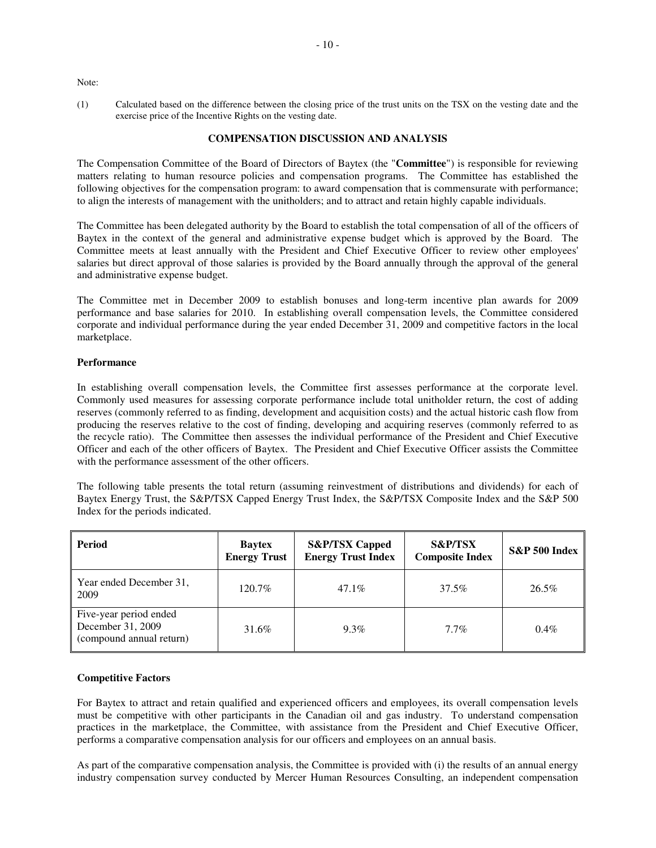Note:

(1) Calculated based on the difference between the closing price of the trust units on the TSX on the vesting date and the exercise price of the Incentive Rights on the vesting date.

## **COMPENSATION DISCUSSION AND ANALYSIS**

The Compensation Committee of the Board of Directors of Baytex (the "**Committee**") is responsible for reviewing matters relating to human resource policies and compensation programs. The Committee has established the following objectives for the compensation program: to award compensation that is commensurate with performance; to align the interests of management with the unitholders; and to attract and retain highly capable individuals.

The Committee has been delegated authority by the Board to establish the total compensation of all of the officers of Baytex in the context of the general and administrative expense budget which is approved by the Board. The Committee meets at least annually with the President and Chief Executive Officer to review other employees' salaries but direct approval of those salaries is provided by the Board annually through the approval of the general and administrative expense budget.

The Committee met in December 2009 to establish bonuses and long-term incentive plan awards for 2009 performance and base salaries for 2010. In establishing overall compensation levels, the Committee considered corporate and individual performance during the year ended December 31, 2009 and competitive factors in the local marketplace.

## **Performance**

In establishing overall compensation levels, the Committee first assesses performance at the corporate level. Commonly used measures for assessing corporate performance include total unitholder return, the cost of adding reserves (commonly referred to as finding, development and acquisition costs) and the actual historic cash flow from producing the reserves relative to the cost of finding, developing and acquiring reserves (commonly referred to as the recycle ratio). The Committee then assesses the individual performance of the President and Chief Executive Officer and each of the other officers of Baytex. The President and Chief Executive Officer assists the Committee with the performance assessment of the other officers.

The following table presents the total return (assuming reinvestment of distributions and dividends) for each of Baytex Energy Trust, the S&P/TSX Capped Energy Trust Index, the S&P/TSX Composite Index and the S&P 500 Index for the periods indicated.

| <b>Period</b>                                                           | <b>Baytex</b><br><b>Energy Trust</b> | <b>S&amp;P/TSX Capped</b><br><b>Energy Trust Index</b> | <b>S&amp;P/TSX</b><br><b>Composite Index</b> | S&P 500 Index |
|-------------------------------------------------------------------------|--------------------------------------|--------------------------------------------------------|----------------------------------------------|---------------|
| Year ended December 31,<br>2009                                         | 120.7%                               | $47.1\%$                                               | 37.5%                                        | 26.5%         |
| Five-year period ended<br>December 31, 2009<br>(compound annual return) | 31.6%                                | $9.3\%$                                                | $7.7\%$                                      | $0.4\%$       |

## **Competitive Factors**

For Baytex to attract and retain qualified and experienced officers and employees, its overall compensation levels must be competitive with other participants in the Canadian oil and gas industry. To understand compensation practices in the marketplace, the Committee, with assistance from the President and Chief Executive Officer, performs a comparative compensation analysis for our officers and employees on an annual basis.

As part of the comparative compensation analysis, the Committee is provided with (i) the results of an annual energy industry compensation survey conducted by Mercer Human Resources Consulting, an independent compensation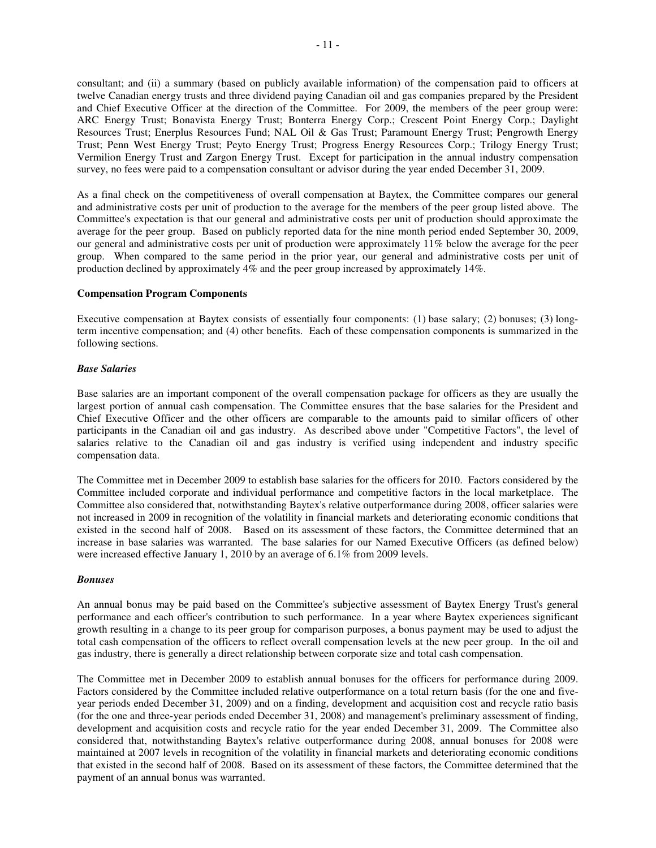consultant; and (ii) a summary (based on publicly available information) of the compensation paid to officers at twelve Canadian energy trusts and three dividend paying Canadian oil and gas companies prepared by the President and Chief Executive Officer at the direction of the Committee. For 2009, the members of the peer group were: ARC Energy Trust; Bonavista Energy Trust; Bonterra Energy Corp.; Crescent Point Energy Corp.; Daylight Resources Trust; Enerplus Resources Fund; NAL Oil & Gas Trust; Paramount Energy Trust; Pengrowth Energy Trust; Penn West Energy Trust; Peyto Energy Trust; Progress Energy Resources Corp.; Trilogy Energy Trust; Vermilion Energy Trust and Zargon Energy Trust. Except for participation in the annual industry compensation survey, no fees were paid to a compensation consultant or advisor during the year ended December 31, 2009.

As a final check on the competitiveness of overall compensation at Baytex, the Committee compares our general and administrative costs per unit of production to the average for the members of the peer group listed above. The Committee's expectation is that our general and administrative costs per unit of production should approximate the average for the peer group. Based on publicly reported data for the nine month period ended September 30, 2009, our general and administrative costs per unit of production were approximately 11% below the average for the peer group. When compared to the same period in the prior year, our general and administrative costs per unit of production declined by approximately 4% and the peer group increased by approximately 14%.

## **Compensation Program Components**

Executive compensation at Baytex consists of essentially four components: (1) base salary; (2) bonuses; (3) longterm incentive compensation; and (4) other benefits. Each of these compensation components is summarized in the following sections.

### *Base Salaries*

Base salaries are an important component of the overall compensation package for officers as they are usually the largest portion of annual cash compensation. The Committee ensures that the base salaries for the President and Chief Executive Officer and the other officers are comparable to the amounts paid to similar officers of other participants in the Canadian oil and gas industry. As described above under "Competitive Factors", the level of salaries relative to the Canadian oil and gas industry is verified using independent and industry specific compensation data.

The Committee met in December 2009 to establish base salaries for the officers for 2010. Factors considered by the Committee included corporate and individual performance and competitive factors in the local marketplace. The Committee also considered that, notwithstanding Baytex's relative outperformance during 2008, officer salaries were not increased in 2009 in recognition of the volatility in financial markets and deteriorating economic conditions that existed in the second half of 2008. Based on its assessment of these factors, the Committee determined that an increase in base salaries was warranted. The base salaries for our Named Executive Officers (as defined below) were increased effective January 1, 2010 by an average of 6.1% from 2009 levels.

#### *Bonuses*

An annual bonus may be paid based on the Committee's subjective assessment of Baytex Energy Trust's general performance and each officer's contribution to such performance. In a year where Baytex experiences significant growth resulting in a change to its peer group for comparison purposes, a bonus payment may be used to adjust the total cash compensation of the officers to reflect overall compensation levels at the new peer group. In the oil and gas industry, there is generally a direct relationship between corporate size and total cash compensation.

The Committee met in December 2009 to establish annual bonuses for the officers for performance during 2009. Factors considered by the Committee included relative outperformance on a total return basis (for the one and fiveyear periods ended December 31, 2009) and on a finding, development and acquisition cost and recycle ratio basis (for the one and three-year periods ended December 31, 2008) and management's preliminary assessment of finding, development and acquisition costs and recycle ratio for the year ended December 31, 2009. The Committee also considered that, notwithstanding Baytex's relative outperformance during 2008, annual bonuses for 2008 were maintained at 2007 levels in recognition of the volatility in financial markets and deteriorating economic conditions that existed in the second half of 2008. Based on its assessment of these factors, the Committee determined that the payment of an annual bonus was warranted.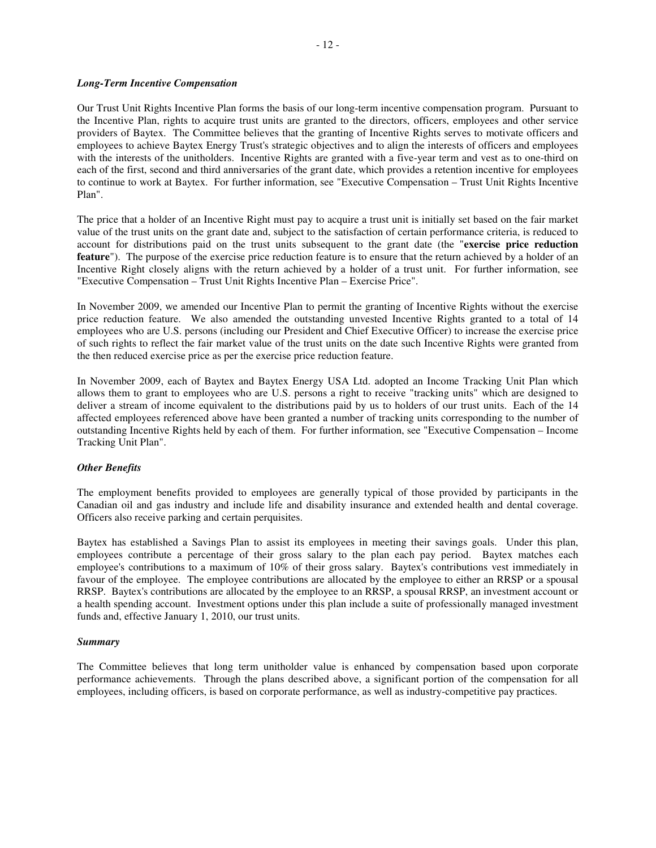## *Long-Term Incentive Compensation*

Our Trust Unit Rights Incentive Plan forms the basis of our long-term incentive compensation program. Pursuant to the Incentive Plan, rights to acquire trust units are granted to the directors, officers, employees and other service providers of Baytex. The Committee believes that the granting of Incentive Rights serves to motivate officers and employees to achieve Baytex Energy Trust's strategic objectives and to align the interests of officers and employees with the interests of the unitholders. Incentive Rights are granted with a five-year term and vest as to one-third on each of the first, second and third anniversaries of the grant date, which provides a retention incentive for employees to continue to work at Baytex. For further information, see "Executive Compensation – Trust Unit Rights Incentive Plan".

The price that a holder of an Incentive Right must pay to acquire a trust unit is initially set based on the fair market value of the trust units on the grant date and, subject to the satisfaction of certain performance criteria, is reduced to account for distributions paid on the trust units subsequent to the grant date (the "**exercise price reduction feature**"). The purpose of the exercise price reduction feature is to ensure that the return achieved by a holder of an Incentive Right closely aligns with the return achieved by a holder of a trust unit. For further information, see "Executive Compensation – Trust Unit Rights Incentive Plan – Exercise Price".

In November 2009, we amended our Incentive Plan to permit the granting of Incentive Rights without the exercise price reduction feature. We also amended the outstanding unvested Incentive Rights granted to a total of 14 employees who are U.S. persons (including our President and Chief Executive Officer) to increase the exercise price of such rights to reflect the fair market value of the trust units on the date such Incentive Rights were granted from the then reduced exercise price as per the exercise price reduction feature.

In November 2009, each of Baytex and Baytex Energy USA Ltd. adopted an Income Tracking Unit Plan which allows them to grant to employees who are U.S. persons a right to receive "tracking units" which are designed to deliver a stream of income equivalent to the distributions paid by us to holders of our trust units. Each of the 14 affected employees referenced above have been granted a number of tracking units corresponding to the number of outstanding Incentive Rights held by each of them. For further information, see "Executive Compensation – Income Tracking Unit Plan".

## *Other Benefits*

The employment benefits provided to employees are generally typical of those provided by participants in the Canadian oil and gas industry and include life and disability insurance and extended health and dental coverage. Officers also receive parking and certain perquisites.

Baytex has established a Savings Plan to assist its employees in meeting their savings goals. Under this plan, employees contribute a percentage of their gross salary to the plan each pay period. Baytex matches each employee's contributions to a maximum of 10% of their gross salary. Baytex's contributions vest immediately in favour of the employee. The employee contributions are allocated by the employee to either an RRSP or a spousal RRSP. Baytex's contributions are allocated by the employee to an RRSP, a spousal RRSP, an investment account or a health spending account. Investment options under this plan include a suite of professionally managed investment funds and, effective January 1, 2010, our trust units.

## *Summary*

The Committee believes that long term unitholder value is enhanced by compensation based upon corporate performance achievements. Through the plans described above, a significant portion of the compensation for all employees, including officers, is based on corporate performance, as well as industry-competitive pay practices.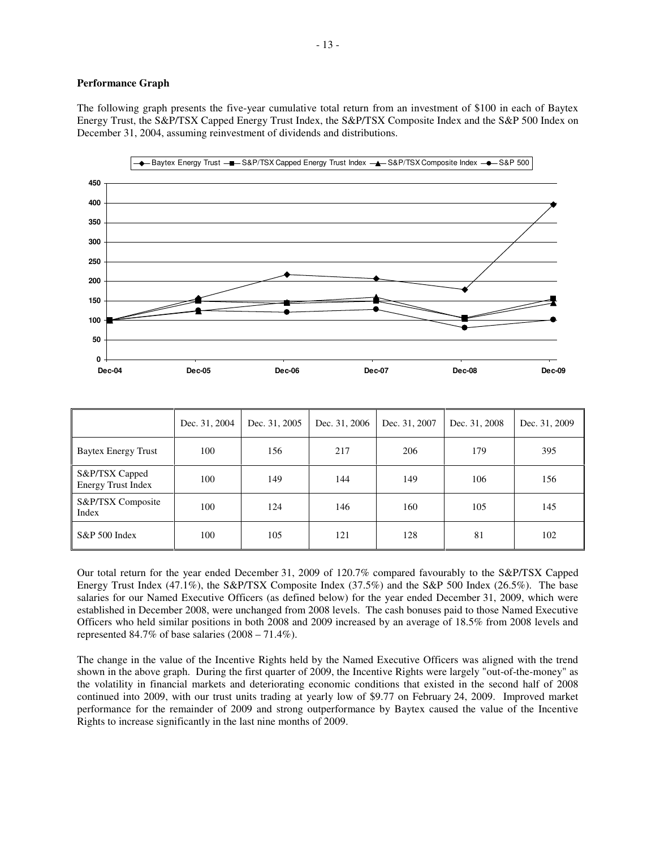### **Performance Graph**

The following graph presents the five-year cumulative total return from an investment of \$100 in each of Baytex Energy Trust, the S&P/TSX Capped Energy Trust Index, the S&P/TSX Composite Index and the S&P 500 Index on December 31, 2004, assuming reinvestment of dividends and distributions.



|                                             | Dec. 31, 2004 | Dec. 31, 2005 | Dec. 31, 2006 | Dec. 31, 2007 | Dec. 31, 2008 | Dec. 31, 2009 |
|---------------------------------------------|---------------|---------------|---------------|---------------|---------------|---------------|
| <b>Baytex Energy Trust</b>                  | 100           | 156           | 217           | 206           | 179           | 395           |
| S&P/TSX Capped<br><b>Energy Trust Index</b> | 100           | 149           | 144           | 149           | 106           | 156           |
| S&P/TSX Composite<br>Index                  | 100           | 124           | 146           | 160           | 105           | 145           |
| S&P 500 Index                               | 100           | 105           | 121           | 128           | 81            | 102           |

Our total return for the year ended December 31, 2009 of 120.7% compared favourably to the S&P/TSX Capped Energy Trust Index (47.1%), the S&P/TSX Composite Index (37.5%) and the S&P 500 Index (26.5%). The base salaries for our Named Executive Officers (as defined below) for the year ended December 31, 2009, which were established in December 2008, were unchanged from 2008 levels. The cash bonuses paid to those Named Executive Officers who held similar positions in both 2008 and 2009 increased by an average of 18.5% from 2008 levels and represented 84.7% of base salaries (2008 – 71.4%).

The change in the value of the Incentive Rights held by the Named Executive Officers was aligned with the trend shown in the above graph. During the first quarter of 2009, the Incentive Rights were largely "out-of-the-money" as the volatility in financial markets and deteriorating economic conditions that existed in the second half of 2008 continued into 2009, with our trust units trading at yearly low of \$9.77 on February 24, 2009. Improved market performance for the remainder of 2009 and strong outperformance by Baytex caused the value of the Incentive Rights to increase significantly in the last nine months of 2009.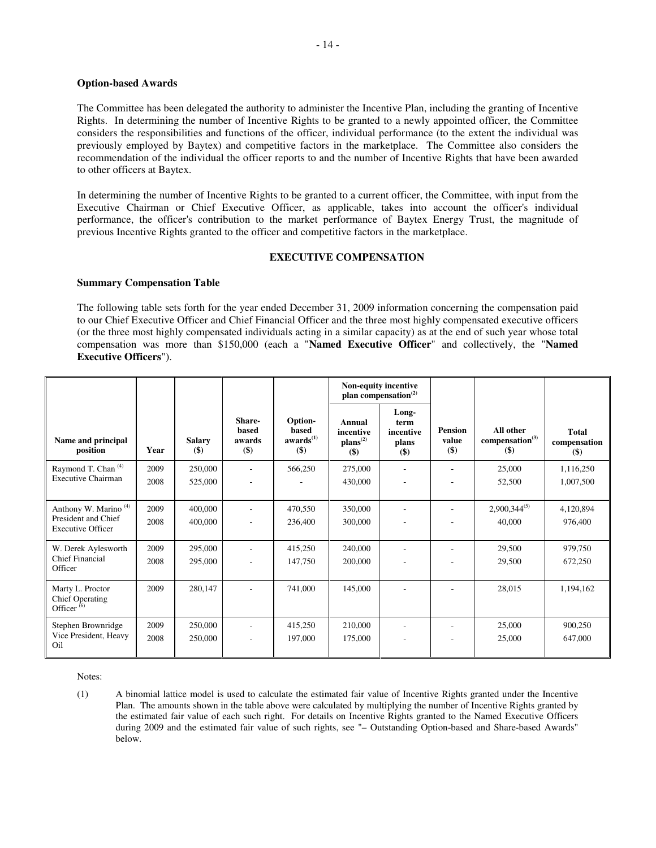## **Option-based Awards**

The Committee has been delegated the authority to administer the Incentive Plan, including the granting of Incentive Rights. In determining the number of Incentive Rights to be granted to a newly appointed officer, the Committee considers the responsibilities and functions of the officer, individual performance (to the extent the individual was previously employed by Baytex) and competitive factors in the marketplace. The Committee also considers the recommendation of the individual the officer reports to and the number of Incentive Rights that have been awarded to other officers at Baytex.

In determining the number of Incentive Rights to be granted to a current officer, the Committee, with input from the Executive Chairman or Chief Executive Officer, as applicable, takes into account the officer's individual performance, the officer's contribution to the market performance of Baytex Energy Trust, the magnitude of previous Incentive Rights granted to the officer and competitive factors in the marketplace.

## **EXECUTIVE COMPENSATION**

### **Summary Compensation Table**

The following table sets forth for the year ended December 31, 2009 information concerning the compensation paid to our Chief Executive Officer and Chief Financial Officer and the three most highly compensated executive officers (or the three most highly compensated individuals acting in a similar capacity) as at the end of such year whose total compensation was more than \$150,000 (each a "**Named Executive Officer**" and collectively, the "**Named Executive Officers**").

|                                                                                     |              |                          |                                           |                                                  | Non-equity incentive<br>plan compensation <sup>(2)</sup> |                                            |                                |                                                   |                                 |
|-------------------------------------------------------------------------------------|--------------|--------------------------|-------------------------------------------|--------------------------------------------------|----------------------------------------------------------|--------------------------------------------|--------------------------------|---------------------------------------------------|---------------------------------|
| Name and principal<br>position                                                      | Year         | <b>Salary</b><br>$($ \$) | Share-<br><b>based</b><br>awards<br>$($)$ | Option-<br>based<br>awards <sup>(1)</sup><br>\$) | Annual<br>incentive<br>$\mathbf{plans}^{(2)}$<br>$($ \$  | Long-<br>term<br>incentive<br>plans<br>\$) | <b>Pension</b><br>value<br>\$) | All other<br>compensation <sup>(3)</sup><br>$($)$ | Total<br>compensation<br>$(\$)$ |
| Raymond T. Chan <sup>(4)</sup><br><b>Executive Chairman</b>                         | 2009<br>2008 | 250,000<br>525,000       |                                           | 566,250                                          | 275,000<br>430,000                                       |                                            |                                | 25,000<br>52,500                                  | 1,116,250<br>1,007,500          |
| Anthony W. Marino <sup>(4)</sup><br>President and Chief<br><b>Executive Officer</b> | 2009<br>2008 | 400,000<br>400,000       |                                           | 470,550<br>236,400                               | 350,000<br>300,000                                       |                                            |                                | $2,900,344^{(5)}$<br>40,000                       | 4,120,894<br>976,400            |
| W. Derek Aylesworth<br>Chief Financial<br>Officer                                   | 2009<br>2008 | 295,000<br>295,000       | ۰                                         | 415,250<br>147,750                               | 240,000<br>200,000                                       |                                            |                                | 29,500<br>29,500                                  | 979,750<br>672,250              |
| Marty L. Proctor<br><b>Chief Operating</b><br>Officer $(6)$                         | 2009         | 280,147                  |                                           | 741,000                                          | 145,000                                                  |                                            |                                | 28,015                                            | 1,194,162                       |
| Stephen Brownridge<br>Vice President, Heavy<br>Oil                                  | 2009<br>2008 | 250,000<br>250,000       | ٠                                         | 415,250<br>197,000                               | 210,000<br>175,000                                       | $\qquad \qquad \blacksquare$               |                                | 25,000<br>25,000                                  | 900,250<br>647,000              |

Notes:

(1) A binomial lattice model is used to calculate the estimated fair value of Incentive Rights granted under the Incentive Plan. The amounts shown in the table above were calculated by multiplying the number of Incentive Rights granted by the estimated fair value of each such right. For details on Incentive Rights granted to the Named Executive Officers during 2009 and the estimated fair value of such rights, see "- Outstanding Option-based and Share-based Awards" below.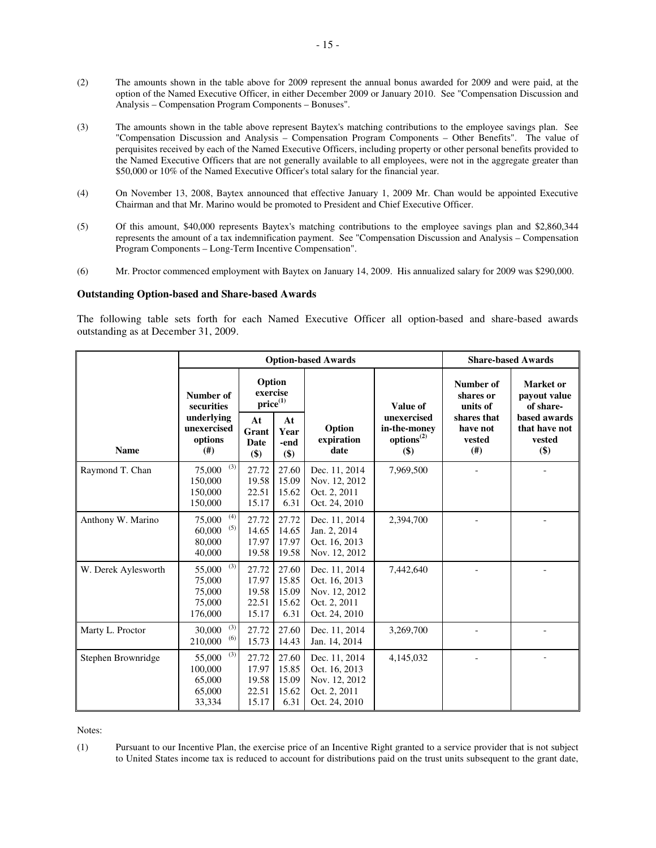- (2) The amounts shown in the table above for 2009 represent the annual bonus awarded for 2009 and were paid, at the option of the Named Executive Officer, in either December 2009 or January 2010. See "Compensation Discussion and Analysis – Compensation Program Components – Bonuses".
- (3) The amounts shown in the table above represent Baytex's matching contributions to the employee savings plan. See "Compensation Discussion and Analysis – Compensation Program Components – Other Benefits". The value of perquisites received by each of the Named Executive Officers, including property or other personal benefits provided to the Named Executive Officers that are not generally available to all employees, were not in the aggregate greater than \$50,000 or 10% of the Named Executive Officer's total salary for the financial year.
- (4) On November 13, 2008, Baytex announced that effective January 1, 2009 Mr. Chan would be appointed Executive Chairman and that Mr. Marino would be promoted to President and Chief Executive Officer.
- (5) Of this amount, \$40,000 represents Baytex's matching contributions to the employee savings plan and \$2,860,344 represents the amount of a tax indemnification payment. See "Compensation Discussion and Analysis – Compensation Program Components – Long-Term Incentive Compensation".
- (6) Mr. Proctor commenced employment with Baytex on January 14, 2009. His annualized salary for 2009 was \$290,000.

## **Outstanding Option-based and Share-based Awards**

The following table sets forth for each Named Executive Officer all option-based and share-based awards outstanding as at December 31, 2009.

|                     |                                                        |                                           |                                          | <b>Option-based Awards</b>                                                       |                                                              |                                          | <b>Share-based Awards</b>                      |
|---------------------|--------------------------------------------------------|-------------------------------------------|------------------------------------------|----------------------------------------------------------------------------------|--------------------------------------------------------------|------------------------------------------|------------------------------------------------|
|                     | Number of<br>securities                                | Option<br>exercise<br>$price^{(1)}$       |                                          |                                                                                  | Value of                                                     | Number of<br>shares or<br>units of       | Market or<br>payout value<br>of share-         |
| <b>Name</b>         | underlying<br>unexercised<br>options<br>(# )           | At<br>Grant<br>Date<br>\$)                | At<br>Year<br>-end<br>\$)                | Option<br>expiration<br>date                                                     | unexercised<br>in-the-money<br>options <sup>(2)</sup><br>\$) | shares that<br>have not<br>vested<br>(#) | based awards<br>that have not<br>vested<br>\$) |
| Raymond T. Chan     | (3)<br>75,000<br>150,000<br>150,000<br>150,000         | 27.72<br>19.58<br>22.51<br>15.17          | 27.60<br>15.09<br>15.62<br>6.31          | Dec. 11, 2014<br>Nov. 12, 2012<br>Oct. 2, 2011<br>Oct. 24, 2010                  | 7,969,500                                                    |                                          |                                                |
| Anthony W. Marino   | (4)<br>75,000<br>(5)<br>60,000<br>80,000<br>40,000     | 27.72<br>14.65<br>17.97<br>19.58          | 27.72<br>14.65<br>17.97<br>19.58         | Dec. 11, 2014<br>Jan. 2, 2014<br>Oct. 16, 2013<br>Nov. 12, 2012                  | 2,394,700                                                    |                                          |                                                |
| W. Derek Aylesworth | (3)<br>55,000<br>75,000<br>75,000<br>75,000<br>176,000 | 27.72<br>17.97<br>19.58<br>22.51<br>15.17 | 27.60<br>15.85<br>15.09<br>15.62<br>6.31 | Dec. 11, 2014<br>Oct. 16, 2013<br>Nov. 12, 2012<br>Oct. 2, 2011<br>Oct. 24, 2010 | 7,442,640                                                    |                                          |                                                |
| Marty L. Proctor    | (3)<br>30,000<br>(6)<br>210,000                        | 27.72<br>15.73                            | 27.60<br>14.43                           | Dec. 11, 2014<br>Jan. 14, 2014                                                   | 3,269,700                                                    |                                          |                                                |
| Stephen Brownridge  | (3)<br>55,000<br>100,000<br>65,000<br>65,000<br>33,334 | 27.72<br>17.97<br>19.58<br>22.51<br>15.17 | 27.60<br>15.85<br>15.09<br>15.62<br>6.31 | Dec. 11, 2014<br>Oct. 16, 2013<br>Nov. 12, 2012<br>Oct. 2, 2011<br>Oct. 24, 2010 | 4,145,032                                                    |                                          |                                                |

Notes:

(1) Pursuant to our Incentive Plan, the exercise price of an Incentive Right granted to a service provider that is not subject to United States income tax is reduced to account for distributions paid on the trust units subsequent to the grant date,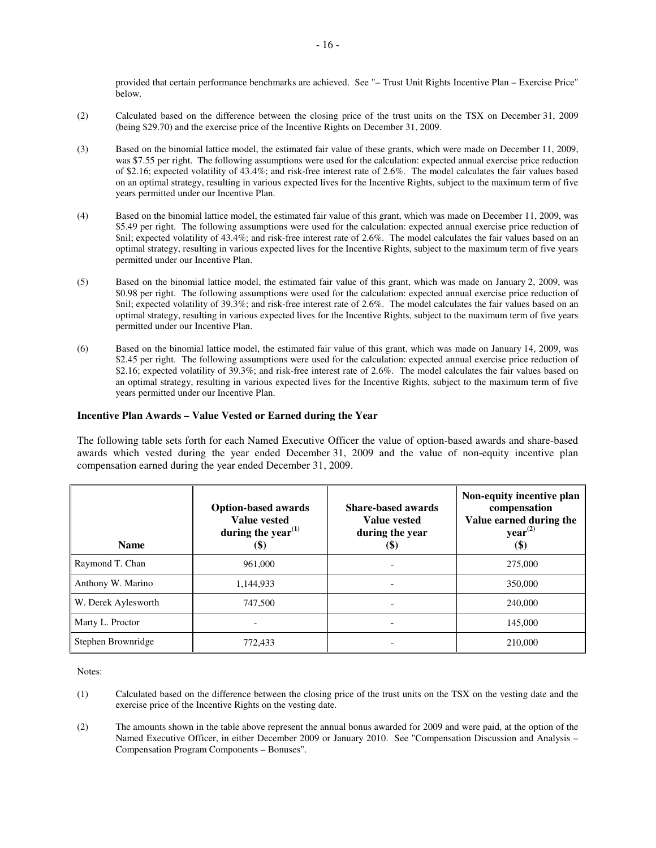provided that certain performance benchmarks are achieved. See "– Trust Unit Rights Incentive Plan – Exercise Price" below.

- (2) Calculated based on the difference between the closing price of the trust units on the TSX on December 31, 2009 (being \$29.70) and the exercise price of the Incentive Rights on December 31, 2009.
- (3) Based on the binomial lattice model, the estimated fair value of these grants, which were made on December 11, 2009, was \$7.55 per right. The following assumptions were used for the calculation: expected annual exercise price reduction of \$2.16; expected volatility of 43.4%; and risk-free interest rate of 2.6%. The model calculates the fair values based on an optimal strategy, resulting in various expected lives for the Incentive Rights, subject to the maximum term of five years permitted under our Incentive Plan.
- (4) Based on the binomial lattice model, the estimated fair value of this grant, which was made on December 11, 2009, was \$5.49 per right. The following assumptions were used for the calculation: expected annual exercise price reduction of \$nil; expected volatility of 43.4%; and risk-free interest rate of 2.6%. The model calculates the fair values based on an optimal strategy, resulting in various expected lives for the Incentive Rights, subject to the maximum term of five years permitted under our Incentive Plan.
- (5) Based on the binomial lattice model, the estimated fair value of this grant, which was made on January 2, 2009, was \$0.98 per right. The following assumptions were used for the calculation: expected annual exercise price reduction of \$nil; expected volatility of 39.3%; and risk-free interest rate of 2.6%. The model calculates the fair values based on an optimal strategy, resulting in various expected lives for the Incentive Rights, subject to the maximum term of five years permitted under our Incentive Plan.
- (6) Based on the binomial lattice model, the estimated fair value of this grant, which was made on January 14, 2009, was \$2.45 per right. The following assumptions were used for the calculation: expected annual exercise price reduction of \$2.16; expected volatility of 39.3%; and risk-free interest rate of 2.6%. The model calculates the fair values based on an optimal strategy, resulting in various expected lives for the Incentive Rights, subject to the maximum term of five years permitted under our Incentive Plan.

## **Incentive Plan Awards – Value Vested or Earned during the Year**

The following table sets forth for each Named Executive Officer the value of option-based awards and share-based awards which vested during the year ended December 31, 2009 and the value of non-equity incentive plan compensation earned during the year ended December 31, 2009.

| <b>Name</b>         | <b>Option-based awards</b><br><b>Value vested</b><br>during the year <sup><math>(1)</math></sup><br>\$) | <b>Share-based awards</b><br>Value vested<br>during the year<br>$\left( \mathbf{\$}\right)$ | Non-equity incentive plan<br>compensation<br>Value earned during the<br>year <sup>(2)</sup><br><b>(\$)</b> |
|---------------------|---------------------------------------------------------------------------------------------------------|---------------------------------------------------------------------------------------------|------------------------------------------------------------------------------------------------------------|
| Raymond T. Chan     | 961,000                                                                                                 |                                                                                             | 275,000                                                                                                    |
| Anthony W. Marino   | 1,144,933                                                                                               |                                                                                             | 350,000                                                                                                    |
| W. Derek Aylesworth | 747,500                                                                                                 |                                                                                             | 240,000                                                                                                    |
| Marty L. Proctor    |                                                                                                         |                                                                                             | 145,000                                                                                                    |
| Stephen Brownridge  | 772,433                                                                                                 |                                                                                             | 210,000                                                                                                    |

Notes:

- (1) Calculated based on the difference between the closing price of the trust units on the TSX on the vesting date and the exercise price of the Incentive Rights on the vesting date.
- (2) The amounts shown in the table above represent the annual bonus awarded for 2009 and were paid, at the option of the Named Executive Officer, in either December 2009 or January 2010. See "Compensation Discussion and Analysis – Compensation Program Components – Bonuses".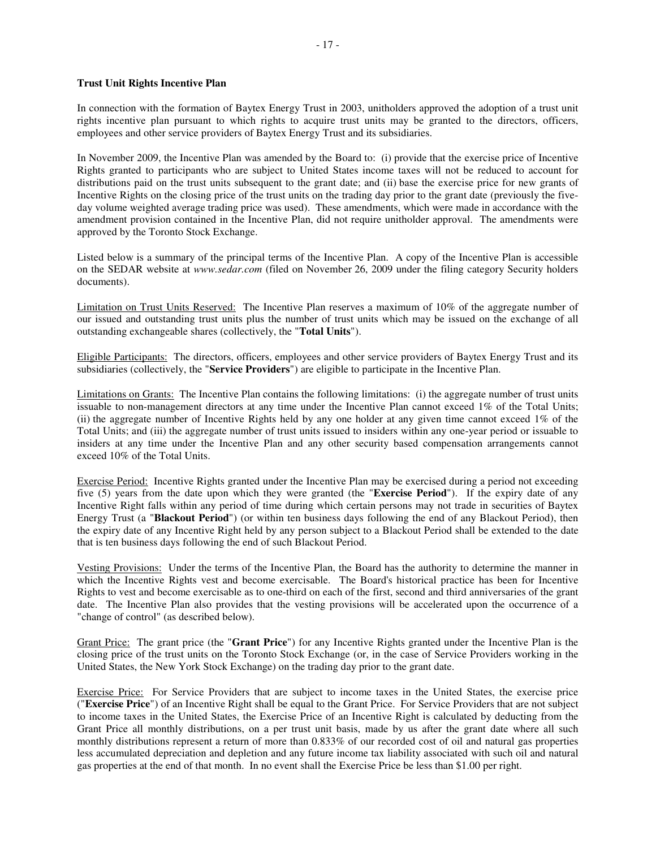## **Trust Unit Rights Incentive Plan**

In connection with the formation of Baytex Energy Trust in 2003, unitholders approved the adoption of a trust unit rights incentive plan pursuant to which rights to acquire trust units may be granted to the directors, officers, employees and other service providers of Baytex Energy Trust and its subsidiaries.

In November 2009, the Incentive Plan was amended by the Board to: (i) provide that the exercise price of Incentive Rights granted to participants who are subject to United States income taxes will not be reduced to account for distributions paid on the trust units subsequent to the grant date; and (ii) base the exercise price for new grants of Incentive Rights on the closing price of the trust units on the trading day prior to the grant date (previously the fiveday volume weighted average trading price was used). These amendments, which were made in accordance with the amendment provision contained in the Incentive Plan, did not require unitholder approval. The amendments were approved by the Toronto Stock Exchange.

Listed below is a summary of the principal terms of the Incentive Plan. A copy of the Incentive Plan is accessible on the SEDAR website at *www.sedar.com* (filed on November 26, 2009 under the filing category Security holders documents).

Limitation on Trust Units Reserved: The Incentive Plan reserves a maximum of 10% of the aggregate number of our issued and outstanding trust units plus the number of trust units which may be issued on the exchange of all outstanding exchangeable shares (collectively, the "**Total Units**").

Eligible Participants: The directors, officers, employees and other service providers of Baytex Energy Trust and its subsidiaries (collectively, the "**Service Providers**") are eligible to participate in the Incentive Plan.

Limitations on Grants: The Incentive Plan contains the following limitations: (i) the aggregate number of trust units issuable to non-management directors at any time under the Incentive Plan cannot exceed 1% of the Total Units; (ii) the aggregate number of Incentive Rights held by any one holder at any given time cannot exceed 1% of the Total Units; and (iii) the aggregate number of trust units issued to insiders within any one-year period or issuable to insiders at any time under the Incentive Plan and any other security based compensation arrangements cannot exceed 10% of the Total Units.

Exercise Period: Incentive Rights granted under the Incentive Plan may be exercised during a period not exceeding five (5) years from the date upon which they were granted (the "**Exercise Period**"). If the expiry date of any Incentive Right falls within any period of time during which certain persons may not trade in securities of Baytex Energy Trust (a "**Blackout Period**") (or within ten business days following the end of any Blackout Period), then the expiry date of any Incentive Right held by any person subject to a Blackout Period shall be extended to the date that is ten business days following the end of such Blackout Period.

Vesting Provisions: Under the terms of the Incentive Plan, the Board has the authority to determine the manner in which the Incentive Rights vest and become exercisable. The Board's historical practice has been for Incentive Rights to vest and become exercisable as to one-third on each of the first, second and third anniversaries of the grant date. The Incentive Plan also provides that the vesting provisions will be accelerated upon the occurrence of a "change of control" (as described below).

Grant Price: The grant price (the "**Grant Price**") for any Incentive Rights granted under the Incentive Plan is the closing price of the trust units on the Toronto Stock Exchange (or, in the case of Service Providers working in the United States, the New York Stock Exchange) on the trading day prior to the grant date.

Exercise Price: For Service Providers that are subject to income taxes in the United States, the exercise price ("**Exercise Price**") of an Incentive Right shall be equal to the Grant Price. For Service Providers that are not subject to income taxes in the United States, the Exercise Price of an Incentive Right is calculated by deducting from the Grant Price all monthly distributions, on a per trust unit basis, made by us after the grant date where all such monthly distributions represent a return of more than 0.833% of our recorded cost of oil and natural gas properties less accumulated depreciation and depletion and any future income tax liability associated with such oil and natural gas properties at the end of that month. In no event shall the Exercise Price be less than \$1.00 per right.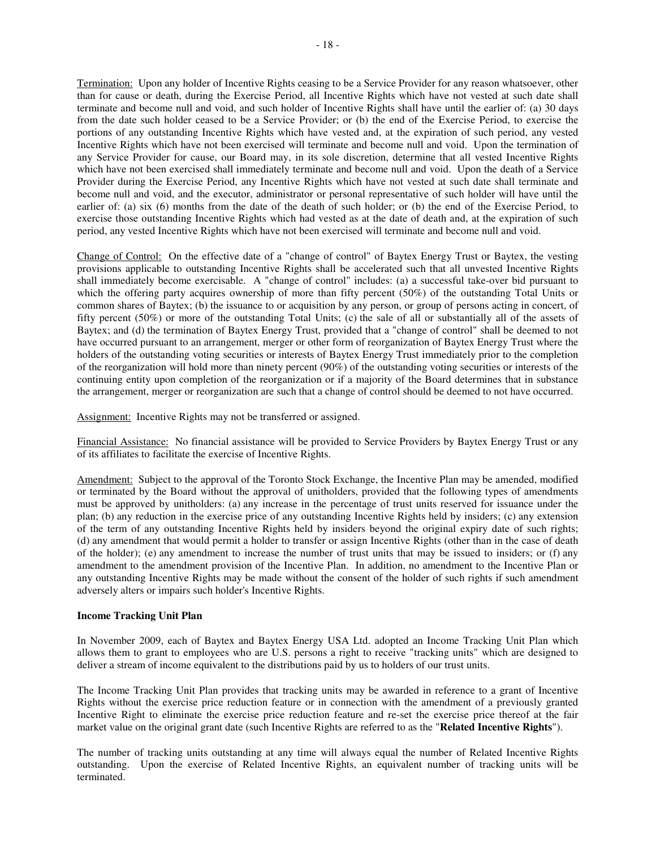Termination: Upon any holder of Incentive Rights ceasing to be a Service Provider for any reason whatsoever, other than for cause or death, during the Exercise Period, all Incentive Rights which have not vested at such date shall terminate and become null and void, and such holder of Incentive Rights shall have until the earlier of: (a) 30 days from the date such holder ceased to be a Service Provider; or (b) the end of the Exercise Period, to exercise the portions of any outstanding Incentive Rights which have vested and, at the expiration of such period, any vested Incentive Rights which have not been exercised will terminate and become null and void. Upon the termination of any Service Provider for cause, our Board may, in its sole discretion, determine that all vested Incentive Rights which have not been exercised shall immediately terminate and become null and void. Upon the death of a Service Provider during the Exercise Period, any Incentive Rights which have not vested at such date shall terminate and become null and void, and the executor, administrator or personal representative of such holder will have until the earlier of: (a) six (6) months from the date of the death of such holder; or (b) the end of the Exercise Period, to exercise those outstanding Incentive Rights which had vested as at the date of death and, at the expiration of such period, any vested Incentive Rights which have not been exercised will terminate and become null and void.

Change of Control: On the effective date of a "change of control" of Baytex Energy Trust or Baytex, the vesting provisions applicable to outstanding Incentive Rights shall be accelerated such that all unvested Incentive Rights shall immediately become exercisable. A "change of control" includes: (a) a successful take-over bid pursuant to which the offering party acquires ownership of more than fifty percent (50%) of the outstanding Total Units or common shares of Baytex; (b) the issuance to or acquisition by any person, or group of persons acting in concert, of fifty percent (50%) or more of the outstanding Total Units; (c) the sale of all or substantially all of the assets of Baytex; and (d) the termination of Baytex Energy Trust, provided that a "change of control" shall be deemed to not have occurred pursuant to an arrangement, merger or other form of reorganization of Baytex Energy Trust where the holders of the outstanding voting securities or interests of Baytex Energy Trust immediately prior to the completion of the reorganization will hold more than ninety percent (90%) of the outstanding voting securities or interests of the continuing entity upon completion of the reorganization or if a majority of the Board determines that in substance the arrangement, merger or reorganization are such that a change of control should be deemed to not have occurred.

Assignment: Incentive Rights may not be transferred or assigned.

Financial Assistance: No financial assistance will be provided to Service Providers by Baytex Energy Trust or any of its affiliates to facilitate the exercise of Incentive Rights.

Amendment: Subject to the approval of the Toronto Stock Exchange, the Incentive Plan may be amended, modified or terminated by the Board without the approval of unitholders, provided that the following types of amendments must be approved by unitholders: (a) any increase in the percentage of trust units reserved for issuance under the plan; (b) any reduction in the exercise price of any outstanding Incentive Rights held by insiders; (c) any extension of the term of any outstanding Incentive Rights held by insiders beyond the original expiry date of such rights; (d) any amendment that would permit a holder to transfer or assign Incentive Rights (other than in the case of death of the holder); (e) any amendment to increase the number of trust units that may be issued to insiders; or (f) any amendment to the amendment provision of the Incentive Plan. In addition, no amendment to the Incentive Plan or any outstanding Incentive Rights may be made without the consent of the holder of such rights if such amendment adversely alters or impairs such holder's Incentive Rights.

## **Income Tracking Unit Plan**

In November 2009, each of Baytex and Baytex Energy USA Ltd. adopted an Income Tracking Unit Plan which allows them to grant to employees who are U.S. persons a right to receive "tracking units" which are designed to deliver a stream of income equivalent to the distributions paid by us to holders of our trust units.

The Income Tracking Unit Plan provides that tracking units may be awarded in reference to a grant of Incentive Rights without the exercise price reduction feature or in connection with the amendment of a previously granted Incentive Right to eliminate the exercise price reduction feature and re-set the exercise price thereof at the fair market value on the original grant date (such Incentive Rights are referred to as the "**Related Incentive Rights**").

The number of tracking units outstanding at any time will always equal the number of Related Incentive Rights outstanding. Upon the exercise of Related Incentive Rights, an equivalent number of tracking units will be terminated.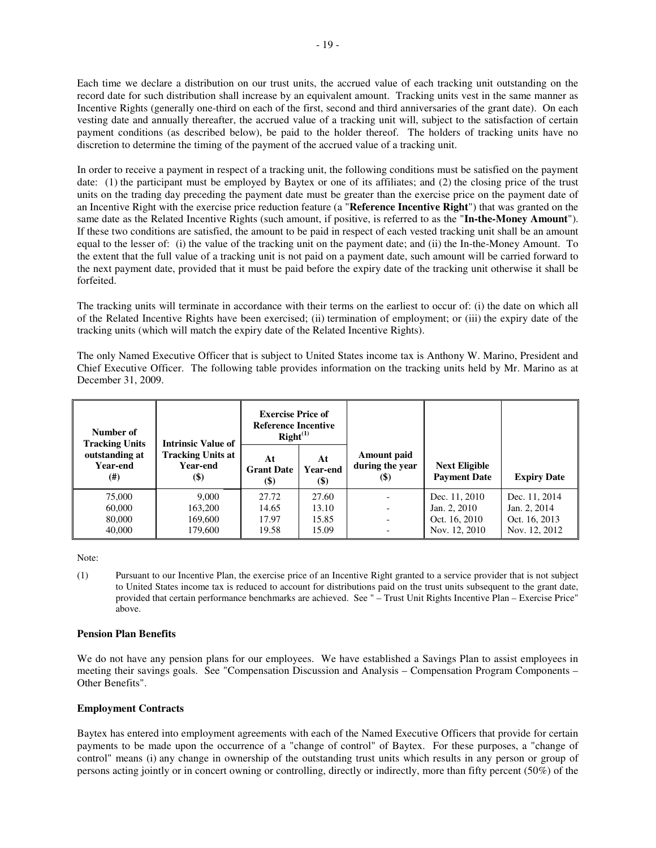Each time we declare a distribution on our trust units, the accrued value of each tracking unit outstanding on the record date for such distribution shall increase by an equivalent amount. Tracking units vest in the same manner as Incentive Rights (generally one-third on each of the first, second and third anniversaries of the grant date). On each vesting date and annually thereafter, the accrued value of a tracking unit will, subject to the satisfaction of certain payment conditions (as described below), be paid to the holder thereof. The holders of tracking units have no discretion to determine the timing of the payment of the accrued value of a tracking unit.

In order to receive a payment in respect of a tracking unit, the following conditions must be satisfied on the payment date: (1) the participant must be employed by Baytex or one of its affiliates; and (2) the closing price of the trust units on the trading day preceding the payment date must be greater than the exercise price on the payment date of an Incentive Right with the exercise price reduction feature (a "**Reference Incentive Right**") that was granted on the same date as the Related Incentive Rights (such amount, if positive, is referred to as the "**In-the-Money Amount**"). If these two conditions are satisfied, the amount to be paid in respect of each vested tracking unit shall be an amount equal to the lesser of: (i) the value of the tracking unit on the payment date; and (ii) the In-the-Money Amount. To the extent that the full value of a tracking unit is not paid on a payment date, such amount will be carried forward to the next payment date, provided that it must be paid before the expiry date of the tracking unit otherwise it shall be forfeited.

The tracking units will terminate in accordance with their terms on the earliest to occur of: (i) the date on which all of the Related Incentive Rights have been exercised; (ii) termination of employment; or (iii) the expiry date of the tracking units (which will match the expiry date of the Related Incentive Rights).

The only Named Executive Officer that is subject to United States income tax is Anthony W. Marino, President and Chief Executive Officer. The following table provides information on the tracking units held by Mr. Marino as at December 31, 2009.

| Number of<br><b>Tracking Units</b>      | <b>Intrinsic Value of</b>                                                 | <b>Exercise Price of</b><br><b>Reference Incentive</b><br>$Right^{(1)}$ |                          |                                           |                                             |                    |
|-----------------------------------------|---------------------------------------------------------------------------|-------------------------------------------------------------------------|--------------------------|-------------------------------------------|---------------------------------------------|--------------------|
| outstanding at<br>Year-end<br>$^{(ii)}$ | <b>Tracking Units at</b><br><b>Year-end</b><br>$\left( \mathbb{S}\right)$ | At<br><b>Grant Date</b><br>$\left( \mathbb{S}\right)$                   | At<br>Year-end<br>$($ \$ | Amount paid<br>during the year<br>$($ \$) | <b>Next Eligible</b><br><b>Payment Date</b> | <b>Expiry Date</b> |
| 75,000                                  | 9,000                                                                     | 27.72                                                                   | 27.60                    |                                           | Dec. 11, 2010                               | Dec. 11, 2014      |
| 60,000                                  | 163,200                                                                   | 14.65                                                                   | 13.10                    | $\overline{\phantom{0}}$                  | Jan. 2, 2010                                | Jan. 2, 2014       |
| 80,000                                  | 169,600                                                                   | 17.97                                                                   | 15.85                    | $\overline{\phantom{a}}$                  | Oct. 16, 2010                               | Oct. 16, 2013      |
| 40,000                                  | 179,600                                                                   | 19.58                                                                   | 15.09                    |                                           | Nov. 12, 2010                               | Nov. 12, 2012      |

Note:

(1) Pursuant to our Incentive Plan, the exercise price of an Incentive Right granted to a service provider that is not subject to United States income tax is reduced to account for distributions paid on the trust units subsequent to the grant date, provided that certain performance benchmarks are achieved. See " – Trust Unit Rights Incentive Plan – Exercise Price" above.

#### **Pension Plan Benefits**

We do not have any pension plans for our employees. We have established a Savings Plan to assist employees in meeting their savings goals. See "Compensation Discussion and Analysis – Compensation Program Components – Other Benefits".

#### **Employment Contracts**

Baytex has entered into employment agreements with each of the Named Executive Officers that provide for certain payments to be made upon the occurrence of a "change of control" of Baytex. For these purposes, a "change of control" means (i) any change in ownership of the outstanding trust units which results in any person or group of persons acting jointly or in concert owning or controlling, directly or indirectly, more than fifty percent (50%) of the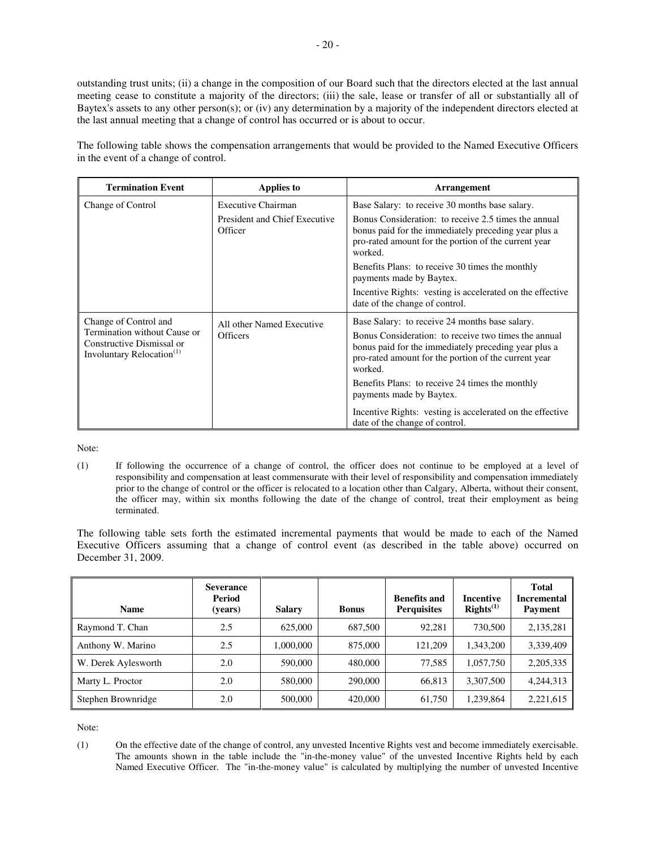outstanding trust units; (ii) a change in the composition of our Board such that the directors elected at the last annual meeting cease to constitute a majority of the directors; (iii) the sale, lease or transfer of all or substantially all of Baytex's assets to any other person(s); or (iv) any determination by a majority of the independent directors elected at the last annual meeting that a change of control has occurred or is about to occur.

The following table shows the compensation arrangements that would be provided to the Named Executive Officers in the event of a change of control.

| <b>Termination Event</b><br>Applies to                                                             |                                                 | <b>Arrangement</b>                                                                                                                                                              |  |
|----------------------------------------------------------------------------------------------------|-------------------------------------------------|---------------------------------------------------------------------------------------------------------------------------------------------------------------------------------|--|
| Change of Control                                                                                  | Executive Chairman                              | Base Salary: to receive 30 months base salary.                                                                                                                                  |  |
|                                                                                                    | <b>President and Chief Executive</b><br>Officer | Bonus Consideration: to receive 2.5 times the annual<br>bonus paid for the immediately preceding year plus a<br>pro-rated amount for the portion of the current year<br>worked. |  |
|                                                                                                    |                                                 | Benefits Plans: to receive 30 times the monthly<br>payments made by Baytex.                                                                                                     |  |
|                                                                                                    |                                                 | Incentive Rights: vesting is accelerated on the effective<br>date of the change of control.                                                                                     |  |
| Change of Control and                                                                              | All other Named Executive                       | Base Salary: to receive 24 months base salary.                                                                                                                                  |  |
| Termination without Cause or<br>Constructive Dismissal or<br>Involuntary Relocation <sup>(1)</sup> | <b>Officers</b>                                 | Bonus Consideration: to receive two times the annual<br>bonus paid for the immediately preceding year plus a<br>pro-rated amount for the portion of the current year<br>worked. |  |
|                                                                                                    |                                                 | Benefits Plans: to receive 24 times the monthly<br>payments made by Baytex.                                                                                                     |  |
|                                                                                                    |                                                 | Incentive Rights: vesting is accelerated on the effective<br>date of the change of control.                                                                                     |  |

Note:

(1) If following the occurrence of a change of control, the officer does not continue to be employed at a level of responsibility and compensation at least commensurate with their level of responsibility and compensation immediately prior to the change of control or the officer is relocated to a location other than Calgary, Alberta, without their consent, the officer may, within six months following the date of the change of control, treat their employment as being terminated.

The following table sets forth the estimated incremental payments that would be made to each of the Named Executive Officers assuming that a change of control event (as described in the table above) occurred on December 31, 2009.

| <b>Name</b>         | <b>Severance</b><br>Period<br>(years) | <b>Salary</b> | <b>Bonus</b> | <b>Benefits and</b><br><b>Perquisites</b> | Incentive<br>Right <sup>(1)</sup> | <b>Total</b><br><b>Incremental</b><br><b>Payment</b> |
|---------------------|---------------------------------------|---------------|--------------|-------------------------------------------|-----------------------------------|------------------------------------------------------|
| Raymond T. Chan     | 2.5                                   | 625,000       | 687,500      | 92,281                                    | 730,500                           | 2,135,281                                            |
| Anthony W. Marino   | 2.5                                   | 1,000,000     | 875,000      | 121,209                                   | 1.343.200                         | 3,339,409                                            |
| W. Derek Aylesworth | 2.0                                   | 590,000       | 480,000      | 77,585                                    | 1,057,750                         | 2,205,335                                            |
| Marty L. Proctor    | 2.0                                   | 580,000       | 290,000      | 66,813                                    | 3,307,500                         | 4,244,313                                            |
| Stephen Brownridge  | 2.0                                   | 500,000       | 420,000      | 61,750                                    | 1,239,864                         | 2,221,615                                            |

Note:

(1) On the effective date of the change of control, any unvested Incentive Rights vest and become immediately exercisable. The amounts shown in the table include the "in-the-money value" of the unvested Incentive Rights held by each Named Executive Officer. The "in-the-money value" is calculated by multiplying the number of unvested Incentive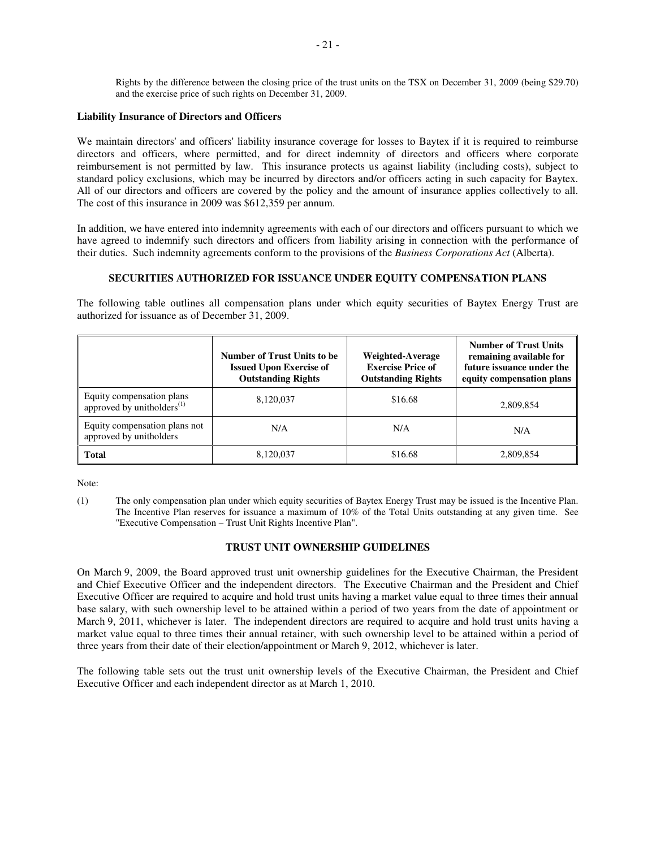Rights by the difference between the closing price of the trust units on the TSX on December 31, 2009 (being \$29.70) and the exercise price of such rights on December 31, 2009.

### **Liability Insurance of Directors and Officers**

We maintain directors' and officers' liability insurance coverage for losses to Baytex if it is required to reimburse directors and officers, where permitted, and for direct indemnity of directors and officers where corporate reimbursement is not permitted by law. This insurance protects us against liability (including costs), subject to standard policy exclusions, which may be incurred by directors and/or officers acting in such capacity for Baytex. All of our directors and officers are covered by the policy and the amount of insurance applies collectively to all. The cost of this insurance in 2009 was \$612,359 per annum.

In addition, we have entered into indemnity agreements with each of our directors and officers pursuant to which we have agreed to indemnify such directors and officers from liability arising in connection with the performance of their duties. Such indemnity agreements conform to the provisions of the *Business Corporations Act* (Alberta).

## **SECURITIES AUTHORIZED FOR ISSUANCE UNDER EQUITY COMPENSATION PLANS**

The following table outlines all compensation plans under which equity securities of Baytex Energy Trust are authorized for issuance as of December 31, 2009.

|                                                                     | <b>Number of Trust Units to be</b><br><b>Issued Upon Exercise of</b><br><b>Outstanding Rights</b> | Weighted-Average<br><b>Exercise Price of</b><br><b>Outstanding Rights</b> | <b>Number of Trust Units</b><br>remaining available for<br>future issuance under the<br>equity compensation plans |
|---------------------------------------------------------------------|---------------------------------------------------------------------------------------------------|---------------------------------------------------------------------------|-------------------------------------------------------------------------------------------------------------------|
| Equity compensation plans<br>approved by unitholders <sup>(1)</sup> | 8,120,037                                                                                         | \$16.68                                                                   | 2,809,854                                                                                                         |
| Equity compensation plans not<br>approved by unitholders            | N/A                                                                                               | N/A                                                                       | N/A                                                                                                               |
| <b>Total</b>                                                        | 8,120,037                                                                                         | \$16.68                                                                   | 2,809,854                                                                                                         |

Note:

(1) The only compensation plan under which equity securities of Baytex Energy Trust may be issued is the Incentive Plan. The Incentive Plan reserves for issuance a maximum of 10% of the Total Units outstanding at any given time. See "Executive Compensation – Trust Unit Rights Incentive Plan".

## **TRUST UNIT OWNERSHIP GUIDELINES**

On March 9, 2009, the Board approved trust unit ownership guidelines for the Executive Chairman, the President and Chief Executive Officer and the independent directors. The Executive Chairman and the President and Chief Executive Officer are required to acquire and hold trust units having a market value equal to three times their annual base salary, with such ownership level to be attained within a period of two years from the date of appointment or March 9, 2011, whichever is later. The independent directors are required to acquire and hold trust units having a market value equal to three times their annual retainer, with such ownership level to be attained within a period of three years from their date of their election/appointment or March 9, 2012, whichever is later.

The following table sets out the trust unit ownership levels of the Executive Chairman, the President and Chief Executive Officer and each independent director as at March 1, 2010.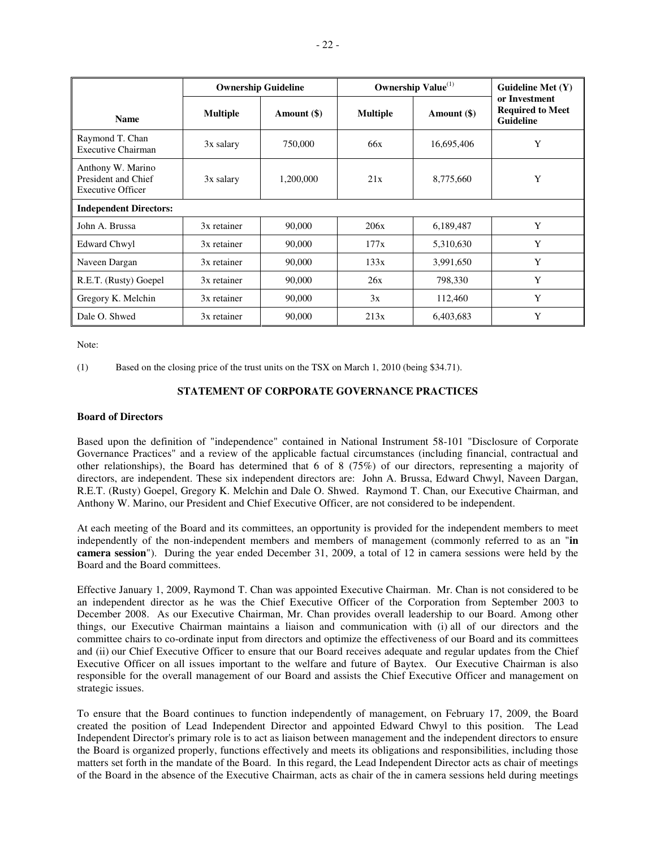|                                                                      | <b>Ownership Guideline</b> |             |                 | Ownership Value <sup>(1)</sup> |                                                              |  |
|----------------------------------------------------------------------|----------------------------|-------------|-----------------|--------------------------------|--------------------------------------------------------------|--|
| <b>Name</b>                                                          | <b>Multiple</b>            | Amount (\$) | <b>Multiple</b> | Amount (\$)                    | or Investment<br><b>Required to Meet</b><br><b>Guideline</b> |  |
| Raymond T. Chan<br><b>Executive Chairman</b>                         | 3x salary                  | 750,000     | 66x             | 16,695,406                     | Y                                                            |  |
| Anthony W. Marino<br>President and Chief<br><b>Executive Officer</b> | 3x salary                  | 1,200,000   | 21x             | 8,775,660                      | Y                                                            |  |
| <b>Independent Directors:</b>                                        |                            |             |                 |                                |                                                              |  |
| John A. Brussa                                                       | 3x retainer                | 90,000      | 206x            | 6,189,487                      | Y                                                            |  |
| <b>Edward Chwyl</b>                                                  | 3x retainer                | 90,000      | 177x            | 5,310,630                      | Y                                                            |  |
| Naveen Dargan                                                        | 3x retainer                | 90,000      | 133x            | 3,991,650                      | Y                                                            |  |
| R.E.T. (Rusty) Goepel                                                | 3x retainer                | 90,000      | 26x             | 798,330                        | Y                                                            |  |
| Gregory K. Melchin                                                   | 3x retainer                | 90,000      | 3x              | 112,460                        | Y                                                            |  |
| Dale O. Shwed                                                        | 3x retainer                | 90,000      | 213x            | 6,403,683                      | Y                                                            |  |

Note:

(1) Based on the closing price of the trust units on the TSX on March 1, 2010 (being \$34.71).

## **STATEMENT OF CORPORATE GOVERNANCE PRACTICES**

### **Board of Directors**

Based upon the definition of "independence" contained in National Instrument 58-101 "Disclosure of Corporate Governance Practices" and a review of the applicable factual circumstances (including financial, contractual and other relationships), the Board has determined that 6 of 8 (75%) of our directors, representing a majority of directors, are independent. These six independent directors are: John A. Brussa, Edward Chwyl, Naveen Dargan, R.E.T. (Rusty) Goepel, Gregory K. Melchin and Dale O. Shwed. Raymond T. Chan, our Executive Chairman, and Anthony W. Marino, our President and Chief Executive Officer, are not considered to be independent.

At each meeting of the Board and its committees, an opportunity is provided for the independent members to meet independently of the non-independent members and members of management (commonly referred to as an "**in camera session**"). During the year ended December 31, 2009, a total of 12 in camera sessions were held by the Board and the Board committees.

Effective January 1, 2009, Raymond T. Chan was appointed Executive Chairman. Mr. Chan is not considered to be an independent director as he was the Chief Executive Officer of the Corporation from September 2003 to December 2008. As our Executive Chairman, Mr. Chan provides overall leadership to our Board. Among other things, our Executive Chairman maintains a liaison and communication with (i) all of our directors and the committee chairs to co-ordinate input from directors and optimize the effectiveness of our Board and its committees and (ii) our Chief Executive Officer to ensure that our Board receives adequate and regular updates from the Chief Executive Officer on all issues important to the welfare and future of Baytex. Our Executive Chairman is also responsible for the overall management of our Board and assists the Chief Executive Officer and management on strategic issues.

To ensure that the Board continues to function independently of management, on February 17, 2009, the Board created the position of Lead Independent Director and appointed Edward Chwyl to this position. The Lead Independent Director's primary role is to act as liaison between management and the independent directors to ensure the Board is organized properly, functions effectively and meets its obligations and responsibilities, including those matters set forth in the mandate of the Board. In this regard, the Lead Independent Director acts as chair of meetings of the Board in the absence of the Executive Chairman, acts as chair of the in camera sessions held during meetings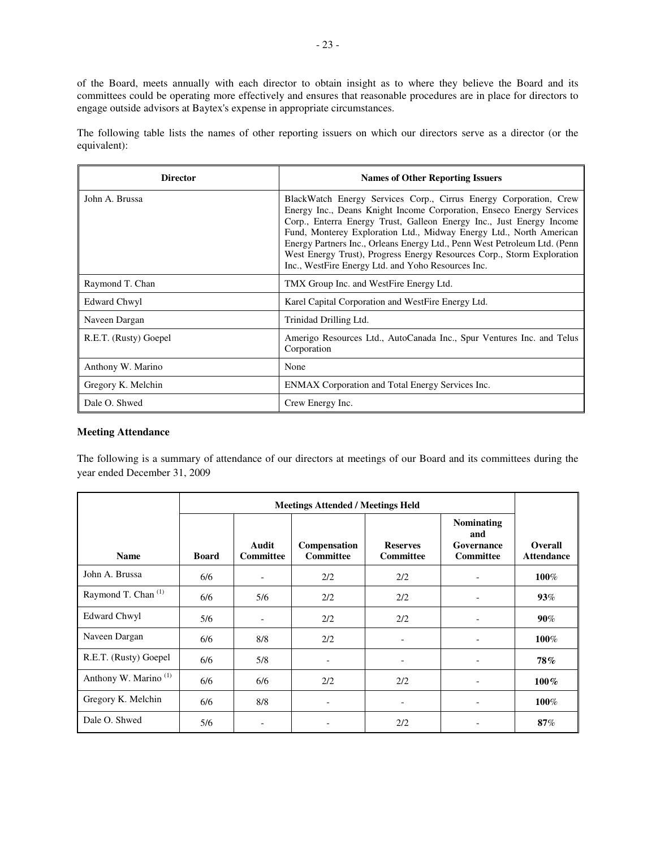of the Board, meets annually with each director to obtain insight as to where they believe the Board and its committees could be operating more effectively and ensures that reasonable procedures are in place for directors to engage outside advisors at Baytex's expense in appropriate circumstances.

The following table lists the names of other reporting issuers on which our directors serve as a director (or the equivalent):

| <b>Director</b>       | <b>Names of Other Reporting Issuers</b>                                                                                                                                                                                                                                                                                                                                                                                                                                                               |
|-----------------------|-------------------------------------------------------------------------------------------------------------------------------------------------------------------------------------------------------------------------------------------------------------------------------------------------------------------------------------------------------------------------------------------------------------------------------------------------------------------------------------------------------|
| John A. Brussa        | BlackWatch Energy Services Corp., Cirrus Energy Corporation, Crew<br>Energy Inc., Deans Knight Income Corporation, Enseco Energy Services<br>Corp., Enterra Energy Trust, Galleon Energy Inc., Just Energy Income<br>Fund, Monterey Exploration Ltd., Midway Energy Ltd., North American<br>Energy Partners Inc., Orleans Energy Ltd., Penn West Petroleum Ltd. (Penn<br>West Energy Trust), Progress Energy Resources Corp., Storm Exploration<br>Inc., WestFire Energy Ltd. and Yoho Resources Inc. |
| Raymond T. Chan       | TMX Group Inc. and WestFire Energy Ltd.                                                                                                                                                                                                                                                                                                                                                                                                                                                               |
| Edward Chwyl          | Karel Capital Corporation and WestFire Energy Ltd.                                                                                                                                                                                                                                                                                                                                                                                                                                                    |
| Naveen Dargan         | Trinidad Drilling Ltd.                                                                                                                                                                                                                                                                                                                                                                                                                                                                                |
| R.E.T. (Rusty) Goepel | Amerigo Resources Ltd., AutoCanada Inc., Spur Ventures Inc. and Telus<br>Corporation                                                                                                                                                                                                                                                                                                                                                                                                                  |
| Anthony W. Marino     | None                                                                                                                                                                                                                                                                                                                                                                                                                                                                                                  |
| Gregory K. Melchin    | ENMAX Corporation and Total Energy Services Inc.                                                                                                                                                                                                                                                                                                                                                                                                                                                      |
| Dale O. Shwed         | Crew Energy Inc.                                                                                                                                                                                                                                                                                                                                                                                                                                                                                      |

## **Meeting Attendance**

The following is a summary of attendance of our directors at meetings of our Board and its committees during the year ended December 31, 2009

| <b>Name</b>                      | <b>Board</b> | Audit<br><b>Committee</b> | Compensation<br><b>Committee</b> | <b>Reserves</b><br><b>Committee</b> | <b>Nominating</b><br>and<br>Governance<br><b>Committee</b> | Overall<br><b>Attendance</b> |
|----------------------------------|--------------|---------------------------|----------------------------------|-------------------------------------|------------------------------------------------------------|------------------------------|
| John A. Brussa                   | 6/6          | $\overline{\phantom{a}}$  | 2/2                              | 2/2                                 | $\overline{\phantom{a}}$                                   | 100%                         |
| Raymond T. Chan <sup>(1)</sup>   | 6/6          | 5/6                       | 2/2                              | 2/2                                 |                                                            | $93\%$                       |
| <b>Edward Chwyl</b>              | 5/6          | $\overline{\phantom{a}}$  | 2/2                              | 2/2                                 |                                                            | $90\%$                       |
| Naveen Dargan                    | 6/6          | 8/8                       | 2/2                              | $\overline{\phantom{a}}$            |                                                            | 100%                         |
| R.E.T. (Rusty) Goepel            | 6/6          | 5/8                       | $\overline{\phantom{a}}$         | $\overline{\phantom{a}}$            |                                                            | 78%                          |
| Anthony W. Marino <sup>(1)</sup> | 6/6          | 6/6                       | 2/2                              | 2/2                                 |                                                            | $100\%$                      |
| Gregory K. Melchin               | 6/6          | 8/8                       | $\overline{\phantom{a}}$         | -                                   |                                                            | 100%                         |
| Dale O. Shwed                    | 5/6          |                           | -                                | 2/2                                 |                                                            | 87%                          |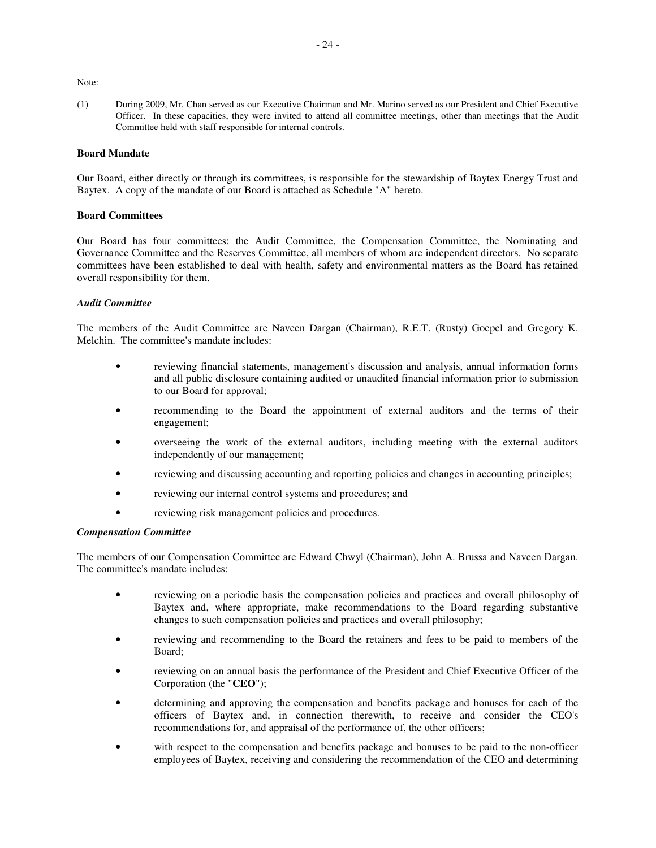Note:

(1) During 2009, Mr. Chan served as our Executive Chairman and Mr. Marino served as our President and Chief Executive Officer. In these capacities, they were invited to attend all committee meetings, other than meetings that the Audit Committee held with staff responsible for internal controls.

## **Board Mandate**

Our Board, either directly or through its committees, is responsible for the stewardship of Baytex Energy Trust and Baytex. A copy of the mandate of our Board is attached as Schedule "A" hereto.

## **Board Committees**

Our Board has four committees: the Audit Committee, the Compensation Committee, the Nominating and Governance Committee and the Reserves Committee, all members of whom are independent directors. No separate committees have been established to deal with health, safety and environmental matters as the Board has retained overall responsibility for them.

### *Audit Committee*

The members of the Audit Committee are Naveen Dargan (Chairman), R.E.T. (Rusty) Goepel and Gregory K. Melchin. The committee's mandate includes:

- reviewing financial statements, management's discussion and analysis, annual information forms and all public disclosure containing audited or unaudited financial information prior to submission to our Board for approval;
- recommending to the Board the appointment of external auditors and the terms of their engagement;
- overseeing the work of the external auditors, including meeting with the external auditors independently of our management;
- reviewing and discussing accounting and reporting policies and changes in accounting principles;
- reviewing our internal control systems and procedures; and
- reviewing risk management policies and procedures.

## *Compensation Committee*

The members of our Compensation Committee are Edward Chwyl (Chairman), John A. Brussa and Naveen Dargan. The committee's mandate includes:

- reviewing on a periodic basis the compensation policies and practices and overall philosophy of Baytex and, where appropriate, make recommendations to the Board regarding substantive changes to such compensation policies and practices and overall philosophy;
- reviewing and recommending to the Board the retainers and fees to be paid to members of the Board;
- reviewing on an annual basis the performance of the President and Chief Executive Officer of the Corporation (the "**CEO**");
- determining and approving the compensation and benefits package and bonuses for each of the officers of Baytex and, in connection therewith, to receive and consider the CEO's recommendations for, and appraisal of the performance of, the other officers;
- with respect to the compensation and benefits package and bonuses to be paid to the non-officer employees of Baytex, receiving and considering the recommendation of the CEO and determining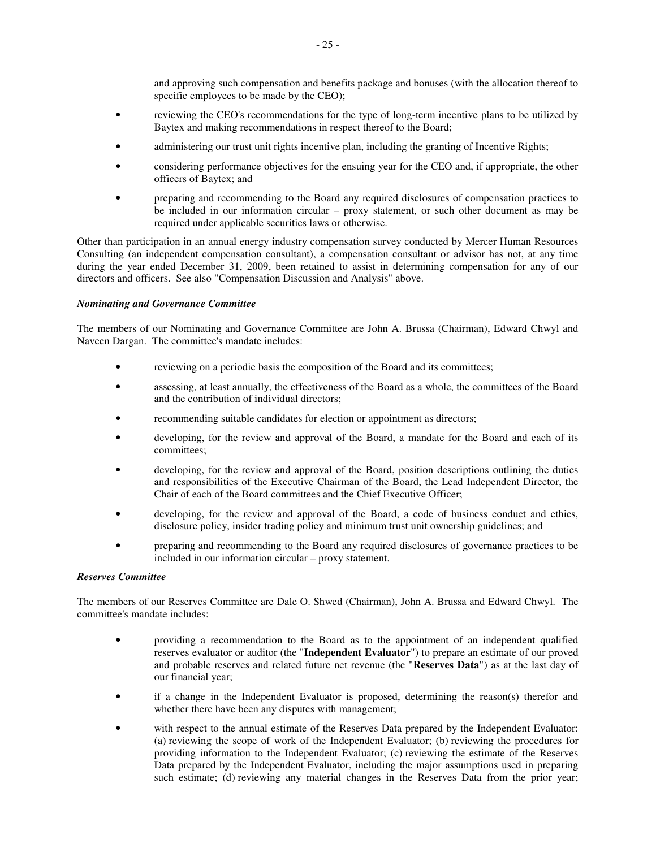and approving such compensation and benefits package and bonuses (with the allocation thereof to specific employees to be made by the CEO);

- reviewing the CEO's recommendations for the type of long-term incentive plans to be utilized by Baytex and making recommendations in respect thereof to the Board;
- administering our trust unit rights incentive plan, including the granting of Incentive Rights;
- considering performance objectives for the ensuing year for the CEO and, if appropriate, the other officers of Baytex; and
- preparing and recommending to the Board any required disclosures of compensation practices to be included in our information circular – proxy statement, or such other document as may be required under applicable securities laws or otherwise.

Other than participation in an annual energy industry compensation survey conducted by Mercer Human Resources Consulting (an independent compensation consultant), a compensation consultant or advisor has not, at any time during the year ended December 31, 2009, been retained to assist in determining compensation for any of our directors and officers. See also "Compensation Discussion and Analysis" above.

## *Nominating and Governance Committee*

The members of our Nominating and Governance Committee are John A. Brussa (Chairman), Edward Chwyl and Naveen Dargan. The committee's mandate includes:

- reviewing on a periodic basis the composition of the Board and its committees;
- assessing, at least annually, the effectiveness of the Board as a whole, the committees of the Board and the contribution of individual directors;
- recommending suitable candidates for election or appointment as directors;
- developing, for the review and approval of the Board, a mandate for the Board and each of its committees;
- developing, for the review and approval of the Board, position descriptions outlining the duties and responsibilities of the Executive Chairman of the Board, the Lead Independent Director, the Chair of each of the Board committees and the Chief Executive Officer;
- developing, for the review and approval of the Board, a code of business conduct and ethics, disclosure policy, insider trading policy and minimum trust unit ownership guidelines; and
- preparing and recommending to the Board any required disclosures of governance practices to be included in our information circular – proxy statement.

# *Reserves Committee*

The members of our Reserves Committee are Dale O. Shwed (Chairman), John A. Brussa and Edward Chwyl. The committee's mandate includes:

- providing a recommendation to the Board as to the appointment of an independent qualified reserves evaluator or auditor (the "**Independent Evaluator**") to prepare an estimate of our proved and probable reserves and related future net revenue (the "**Reserves Data**") as at the last day of our financial year;
- if a change in the Independent Evaluator is proposed, determining the reason(s) therefor and whether there have been any disputes with management;
- with respect to the annual estimate of the Reserves Data prepared by the Independent Evaluator: (a) reviewing the scope of work of the Independent Evaluator; (b) reviewing the procedures for providing information to the Independent Evaluator; (c) reviewing the estimate of the Reserves Data prepared by the Independent Evaluator, including the major assumptions used in preparing such estimate; (d) reviewing any material changes in the Reserves Data from the prior year;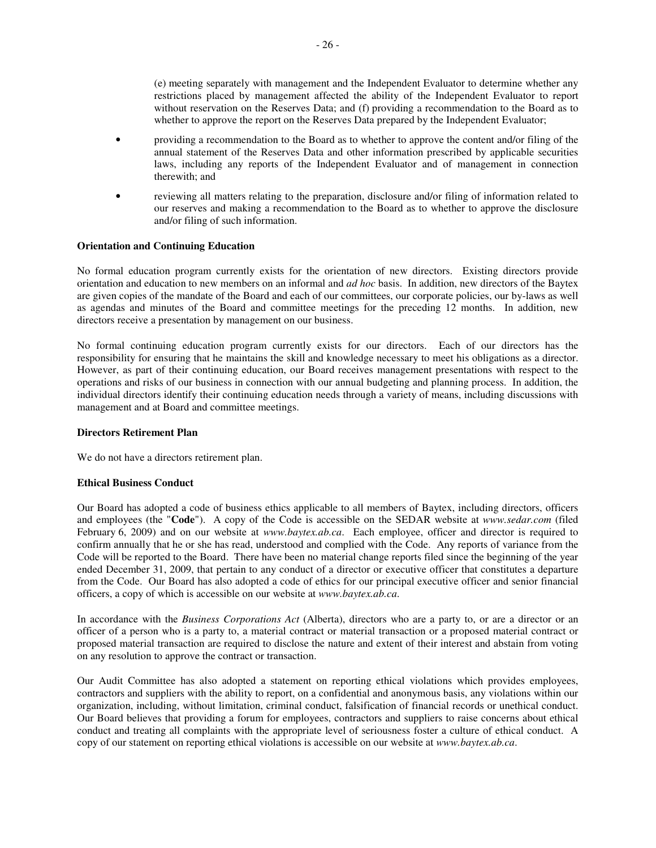(e) meeting separately with management and the Independent Evaluator to determine whether any restrictions placed by management affected the ability of the Independent Evaluator to report without reservation on the Reserves Data; and (f) providing a recommendation to the Board as to whether to approve the report on the Reserves Data prepared by the Independent Evaluator;

- providing a recommendation to the Board as to whether to approve the content and/or filing of the annual statement of the Reserves Data and other information prescribed by applicable securities laws, including any reports of the Independent Evaluator and of management in connection therewith; and
- reviewing all matters relating to the preparation, disclosure and/or filing of information related to our reserves and making a recommendation to the Board as to whether to approve the disclosure and/or filing of such information.

## **Orientation and Continuing Education**

No formal education program currently exists for the orientation of new directors. Existing directors provide orientation and education to new members on an informal and *ad hoc* basis. In addition, new directors of the Baytex are given copies of the mandate of the Board and each of our committees, our corporate policies, our by-laws as well as agendas and minutes of the Board and committee meetings for the preceding 12 months. In addition, new directors receive a presentation by management on our business.

No formal continuing education program currently exists for our directors. Each of our directors has the responsibility for ensuring that he maintains the skill and knowledge necessary to meet his obligations as a director. However, as part of their continuing education, our Board receives management presentations with respect to the operations and risks of our business in connection with our annual budgeting and planning process. In addition, the individual directors identify their continuing education needs through a variety of means, including discussions with management and at Board and committee meetings.

## **Directors Retirement Plan**

We do not have a directors retirement plan.

# **Ethical Business Conduct**

Our Board has adopted a code of business ethics applicable to all members of Baytex, including directors, officers and employees (the "**Code**"). A copy of the Code is accessible on the SEDAR website at *www.sedar.com* (filed February 6, 2009) and on our website at *www.baytex.ab.ca*. Each employee, officer and director is required to confirm annually that he or she has read, understood and complied with the Code. Any reports of variance from the Code will be reported to the Board. There have been no material change reports filed since the beginning of the year ended December 31, 2009, that pertain to any conduct of a director or executive officer that constitutes a departure from the Code. Our Board has also adopted a code of ethics for our principal executive officer and senior financial officers, a copy of which is accessible on our website at *www.baytex.ab.ca*.

In accordance with the *Business Corporations Act* (Alberta), directors who are a party to, or are a director or an officer of a person who is a party to, a material contract or material transaction or a proposed material contract or proposed material transaction are required to disclose the nature and extent of their interest and abstain from voting on any resolution to approve the contract or transaction.

Our Audit Committee has also adopted a statement on reporting ethical violations which provides employees, contractors and suppliers with the ability to report, on a confidential and anonymous basis, any violations within our organization, including, without limitation, criminal conduct, falsification of financial records or unethical conduct. Our Board believes that providing a forum for employees, contractors and suppliers to raise concerns about ethical conduct and treating all complaints with the appropriate level of seriousness foster a culture of ethical conduct. A copy of our statement on reporting ethical violations is accessible on our website at *www.baytex.ab.ca*.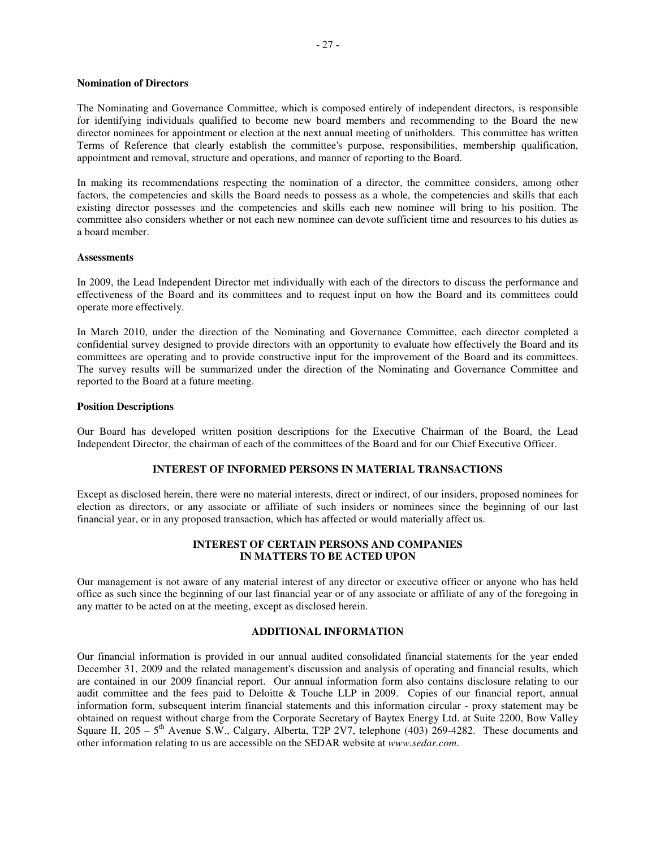## **Nomination of Directors**

The Nominating and Governance Committee, which is composed entirely of independent directors, is responsible for identifying individuals qualified to become new board members and recommending to the Board the new director nominees for appointment or election at the next annual meeting of unitholders. This committee has written Terms of Reference that clearly establish the committee's purpose, responsibilities, membership qualification, appointment and removal, structure and operations, and manner of reporting to the Board.

In making its recommendations respecting the nomination of a director, the committee considers, among other factors, the competencies and skills the Board needs to possess as a whole, the competencies and skills that each existing director possesses and the competencies and skills each new nominee will bring to his position. The committee also considers whether or not each new nominee can devote sufficient time and resources to his duties as a board member.

#### **Assessments**

In 2009, the Lead Independent Director met individually with each of the directors to discuss the performance and effectiveness of the Board and its committees and to request input on how the Board and its committees could operate more effectively.

In March 2010, under the direction of the Nominating and Governance Committee, each director completed a confidential survey designed to provide directors with an opportunity to evaluate how effectively the Board and its committees are operating and to provide constructive input for the improvement of the Board and its committees. The survey results will be summarized under the direction of the Nominating and Governance Committee and reported to the Board at a future meeting.

## **Position Descriptions**

Our Board has developed written position descriptions for the Executive Chairman of the Board, the Lead Independent Director, the chairman of each of the committees of the Board and for our Chief Executive Officer.

#### **INTEREST OF INFORMED PERSONS IN MATERIAL TRANSACTIONS**

Except as disclosed herein, there were no material interests, direct or indirect, of our insiders, proposed nominees for election as directors, or any associate or affiliate of such insiders or nominees since the beginning of our last financial year, or in any proposed transaction, which has affected or would materially affect us.

# **INTEREST OF CERTAIN PERSONS AND COMPANIES IN MATTERS TO BE ACTED UPON**

Our management is not aware of any material interest of any director or executive officer or anyone who has held office as such since the beginning of our last financial year or of any associate or affiliate of any of the foregoing in any matter to be acted on at the meeting, except as disclosed herein.

## **ADDITIONAL INFORMATION**

Our financial information is provided in our annual audited consolidated financial statements for the year ended December 31, 2009 and the related management's discussion and analysis of operating and financial results, which are contained in our 2009 financial report. Our annual information form also contains disclosure relating to our audit committee and the fees paid to Deloitte & Touche LLP in 2009. Copies of our financial report, annual information form, subsequent interim financial statements and this information circular - proxy statement may be obtained on request without charge from the Corporate Secretary of Baytex Energy Ltd. at Suite 2200, Bow Valley Square II,  $205 - 5<sup>th</sup>$  Avenue S.W., Calgary, Alberta, T2P 2V7, telephone (403) 269-4282. These documents and other information relating to us are accessible on the SEDAR website at *www.sedar.com*.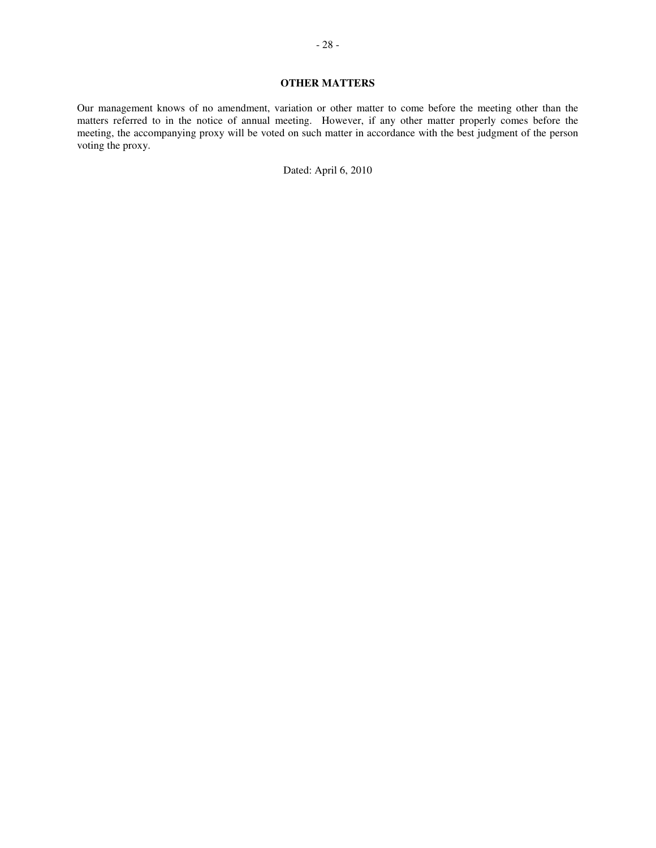# **OTHER MATTERS**

Our management knows of no amendment, variation or other matter to come before the meeting other than the matters referred to in the notice of annual meeting. However, if any other matter properly comes before the meeting, the accompanying proxy will be voted on such matter in accordance with the best judgment of the person voting the proxy.

Dated: April 6, 2010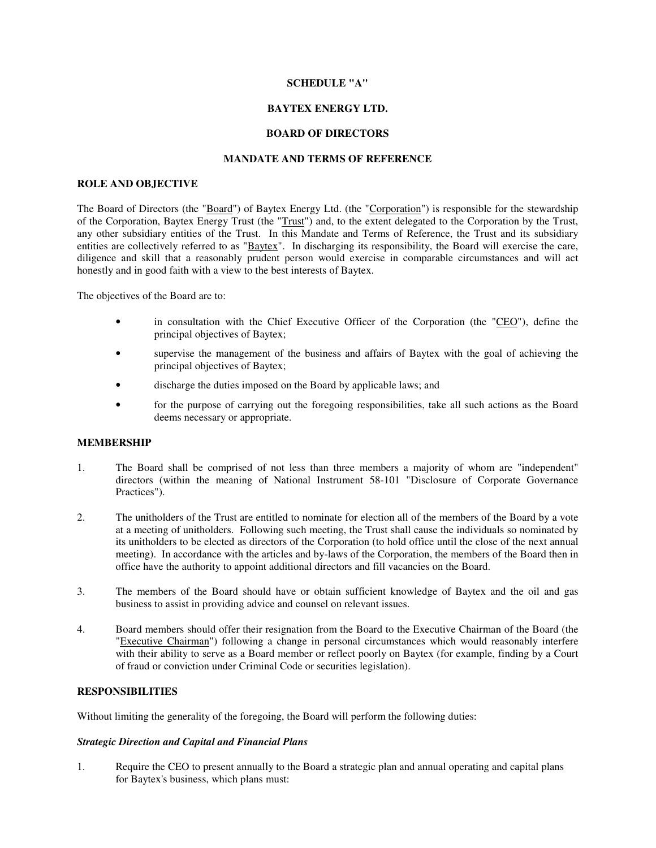## **SCHEDULE "A"**

# **BAYTEX ENERGY LTD.**

## **BOARD OF DIRECTORS**

## **MANDATE AND TERMS OF REFERENCE**

## **ROLE AND OBJECTIVE**

The Board of Directors (the "Board") of Baytex Energy Ltd. (the "Corporation") is responsible for the stewardship of the Corporation, Baytex Energy Trust (the "Trust") and, to the extent delegated to the Corporation by the Trust, any other subsidiary entities of the Trust. In this Mandate and Terms of Reference, the Trust and its subsidiary entities are collectively referred to as "Baytex". In discharging its responsibility, the Board will exercise the care, diligence and skill that a reasonably prudent person would exercise in comparable circumstances and will act honestly and in good faith with a view to the best interests of Baytex.

The objectives of the Board are to:

- in consultation with the Chief Executive Officer of the Corporation (the "CEO"), define the principal objectives of Baytex;
- supervise the management of the business and affairs of Baytex with the goal of achieving the principal objectives of Baytex;
- discharge the duties imposed on the Board by applicable laws; and
- for the purpose of carrying out the foregoing responsibilities, take all such actions as the Board deems necessary or appropriate.

# **MEMBERSHIP**

- 1. The Board shall be comprised of not less than three members a majority of whom are "independent" directors (within the meaning of National Instrument 58-101 "Disclosure of Corporate Governance Practices").
- 2. The unitholders of the Trust are entitled to nominate for election all of the members of the Board by a vote at a meeting of unitholders. Following such meeting, the Trust shall cause the individuals so nominated by its unitholders to be elected as directors of the Corporation (to hold office until the close of the next annual meeting). In accordance with the articles and by-laws of the Corporation, the members of the Board then in office have the authority to appoint additional directors and fill vacancies on the Board.
- 3. The members of the Board should have or obtain sufficient knowledge of Baytex and the oil and gas business to assist in providing advice and counsel on relevant issues.
- 4. Board members should offer their resignation from the Board to the Executive Chairman of the Board (the "Executive Chairman") following a change in personal circumstances which would reasonably interfere with their ability to serve as a Board member or reflect poorly on Baytex (for example, finding by a Court of fraud or conviction under Criminal Code or securities legislation).

# **RESPONSIBILITIES**

Without limiting the generality of the foregoing, the Board will perform the following duties:

## *Strategic Direction and Capital and Financial Plans*

1. Require the CEO to present annually to the Board a strategic plan and annual operating and capital plans for Baytex's business, which plans must: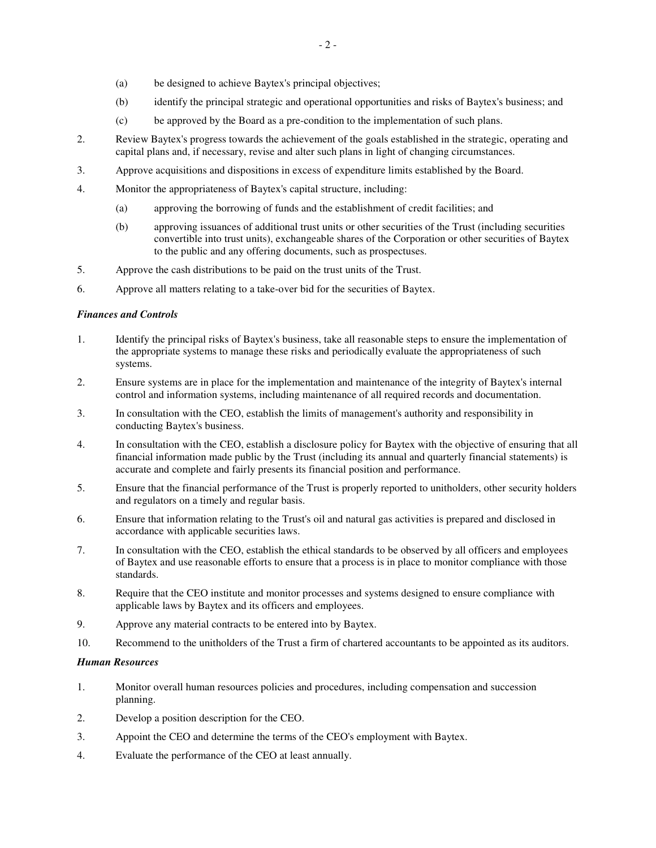- (a) be designed to achieve Baytex's principal objectives;
- (b) identify the principal strategic and operational opportunities and risks of Baytex's business; and
- (c) be approved by the Board as a pre-condition to the implementation of such plans.
- 2. Review Baytex's progress towards the achievement of the goals established in the strategic, operating and capital plans and, if necessary, revise and alter such plans in light of changing circumstances.
- 3. Approve acquisitions and dispositions in excess of expenditure limits established by the Board.
- 4. Monitor the appropriateness of Baytex's capital structure, including:
	- (a) approving the borrowing of funds and the establishment of credit facilities; and
	- (b) approving issuances of additional trust units or other securities of the Trust (including securities convertible into trust units), exchangeable shares of the Corporation or other securities of Baytex to the public and any offering documents, such as prospectuses.
- 5. Approve the cash distributions to be paid on the trust units of the Trust.
- 6. Approve all matters relating to a take-over bid for the securities of Baytex.

## *Finances and Controls*

- 1. Identify the principal risks of Baytex's business, take all reasonable steps to ensure the implementation of the appropriate systems to manage these risks and periodically evaluate the appropriateness of such systems.
- 2. Ensure systems are in place for the implementation and maintenance of the integrity of Baytex's internal control and information systems, including maintenance of all required records and documentation.
- 3. In consultation with the CEO, establish the limits of management's authority and responsibility in conducting Baytex's business.
- 4. In consultation with the CEO, establish a disclosure policy for Baytex with the objective of ensuring that all financial information made public by the Trust (including its annual and quarterly financial statements) is accurate and complete and fairly presents its financial position and performance.
- 5. Ensure that the financial performance of the Trust is properly reported to unitholders, other security holders and regulators on a timely and regular basis.
- 6. Ensure that information relating to the Trust's oil and natural gas activities is prepared and disclosed in accordance with applicable securities laws.
- 7. In consultation with the CEO, establish the ethical standards to be observed by all officers and employees of Baytex and use reasonable efforts to ensure that a process is in place to monitor compliance with those standards.
- 8. Require that the CEO institute and monitor processes and systems designed to ensure compliance with applicable laws by Baytex and its officers and employees.
- 9. Approve any material contracts to be entered into by Baytex.
- 10. Recommend to the unitholders of the Trust a firm of chartered accountants to be appointed as its auditors.

## *Human Resources*

- 1. Monitor overall human resources policies and procedures, including compensation and succession planning.
- 2. Develop a position description for the CEO.
- 3. Appoint the CEO and determine the terms of the CEO's employment with Baytex.
- 4. Evaluate the performance of the CEO at least annually.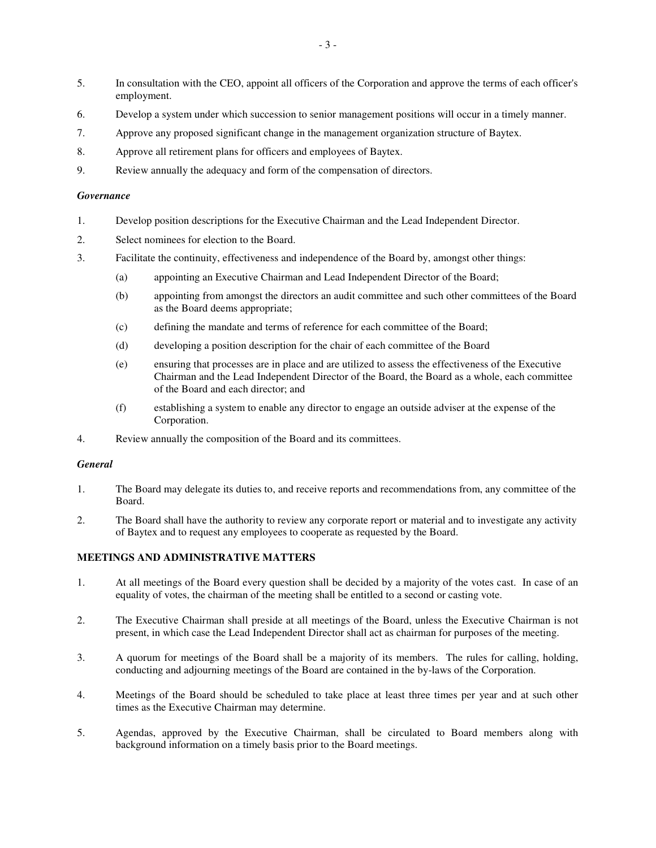- 5. In consultation with the CEO, appoint all officers of the Corporation and approve the terms of each officer's employment.
- 6. Develop a system under which succession to senior management positions will occur in a timely manner.
- 7. Approve any proposed significant change in the management organization structure of Baytex.
- 8. Approve all retirement plans for officers and employees of Baytex.
- 9. Review annually the adequacy and form of the compensation of directors.

## *Governance*

- 1. Develop position descriptions for the Executive Chairman and the Lead Independent Director.
- 2. Select nominees for election to the Board.
- 3. Facilitate the continuity, effectiveness and independence of the Board by, amongst other things:
	- (a) appointing an Executive Chairman and Lead Independent Director of the Board;
	- (b) appointing from amongst the directors an audit committee and such other committees of the Board as the Board deems appropriate;
	- (c) defining the mandate and terms of reference for each committee of the Board;
	- (d) developing a position description for the chair of each committee of the Board
	- (e) ensuring that processes are in place and are utilized to assess the effectiveness of the Executive Chairman and the Lead Independent Director of the Board, the Board as a whole, each committee of the Board and each director; and
	- (f) establishing a system to enable any director to engage an outside adviser at the expense of the Corporation.
- 4. Review annually the composition of the Board and its committees.

## *General*

- 1. The Board may delegate its duties to, and receive reports and recommendations from, any committee of the Board.
- 2. The Board shall have the authority to review any corporate report or material and to investigate any activity of Baytex and to request any employees to cooperate as requested by the Board.

# **MEETINGS AND ADMINISTRATIVE MATTERS**

- 1. At all meetings of the Board every question shall be decided by a majority of the votes cast. In case of an equality of votes, the chairman of the meeting shall be entitled to a second or casting vote.
- 2. The Executive Chairman shall preside at all meetings of the Board, unless the Executive Chairman is not present, in which case the Lead Independent Director shall act as chairman for purposes of the meeting.
- 3. A quorum for meetings of the Board shall be a majority of its members. The rules for calling, holding, conducting and adjourning meetings of the Board are contained in the by-laws of the Corporation.
- 4. Meetings of the Board should be scheduled to take place at least three times per year and at such other times as the Executive Chairman may determine.
- 5. Agendas, approved by the Executive Chairman, shall be circulated to Board members along with background information on a timely basis prior to the Board meetings.